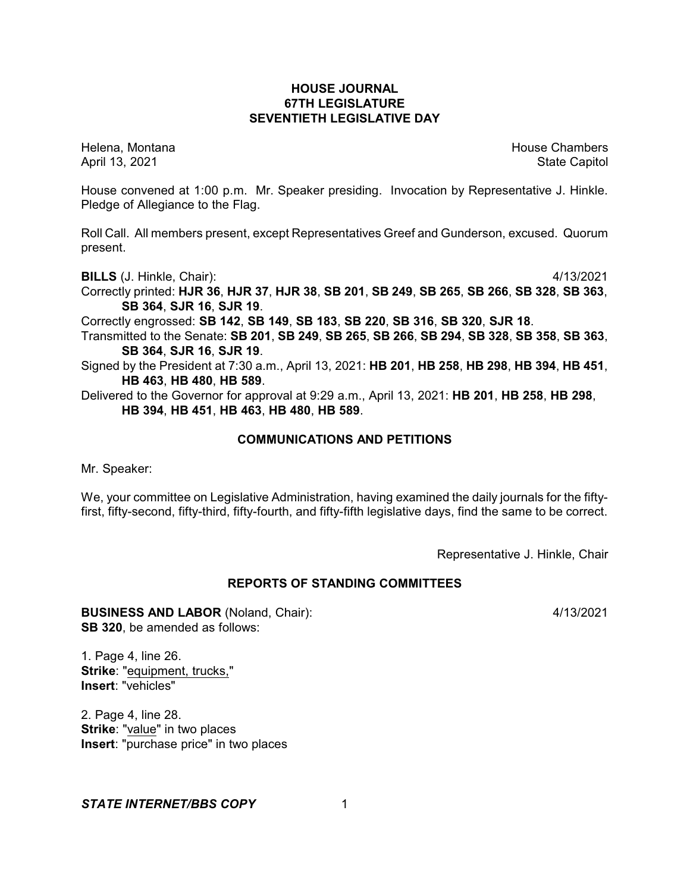# **HOUSE JOURNAL 67TH LEGISLATURE SEVENTIETH LEGISLATIVE DAY**

Helena, Montana House Chambers Chambers Chambers and House Chambers Chambers Chambers Chambers Chambers Chambers Chambers Chambers Chambers Chambers Chambers Chambers Chambers Chambers Chambers Chambers Chambers Chambers C April 13, 2021 State Capitol

House convened at 1:00 p.m. Mr. Speaker presiding. Invocation by Representative J. Hinkle. Pledge of Allegiance to the Flag.

Roll Call. All members present, except Representatives Greef and Gunderson, excused. Quorum present.

**BILLS** (J. Hinkle, Chair): 4/13/2021

Correctly printed: **HJR 36**, **HJR 37**, **HJR 38**, **SB 201**, **SB 249**, **SB 265**, **SB 266**, **SB 328**, **SB 363**, **SB 364**, **SJR 16**, **SJR 19**.

Correctly engrossed: **SB 142**, **SB 149**, **SB 183**, **SB 220**, **SB 316**, **SB 320**, **SJR 18**.

Transmitted to the Senate: **SB 201**, **SB 249**, **SB 265**, **SB 266**, **SB 294**, **SB 328**, **SB 358**, **SB 363**, **SB 364**, **SJR 16**, **SJR 19**.

Signed by the President at 7:30 a.m., April 13, 2021: **HB 201**, **HB 258**, **HB 298**, **HB 394**, **HB 451**, **HB 463**, **HB 480**, **HB 589**.

Delivered to the Governor for approval at 9:29 a.m., April 13, 2021: **HB 201**, **HB 258**, **HB 298**, **HB 394**, **HB 451**, **HB 463**, **HB 480**, **HB 589**.

# **COMMUNICATIONS AND PETITIONS**

Mr. Speaker:

We, your committee on Legislative Administration, having examined the daily journals for the fiftyfirst, fifty-second, fifty-third, fifty-fourth, and fifty-fifth legislative days, find the same to be correct.

Representative J. Hinkle, Chair

# **REPORTS OF STANDING COMMITTEES**

**BUSINESS AND LABOR** (Noland, Chair): 4/13/2021 **SB 320**, be amended as follows:

1. Page 4, line 26. **Strike**: "equipment, trucks," **Insert**: "vehicles"

2. Page 4, line 28. **Strike**: "value" in two places **Insert**: "purchase price" in two places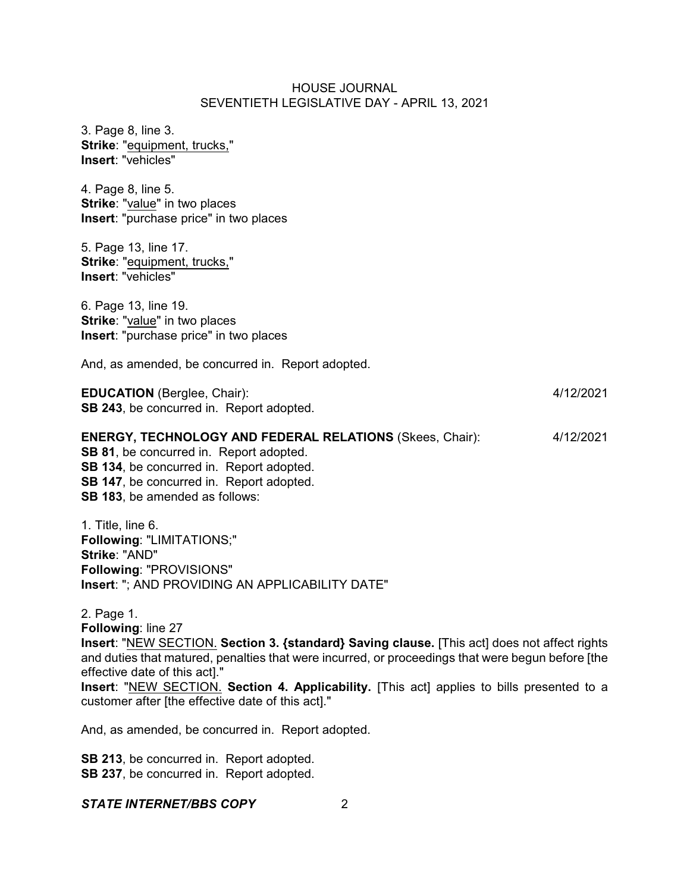| 3. Page 8, line 3.<br>Strike: "equipment, trucks,"<br>Insert: "vehicles"                                                                                                                                                             |           |
|--------------------------------------------------------------------------------------------------------------------------------------------------------------------------------------------------------------------------------------|-----------|
| 4. Page 8, line 5.<br><b>Strike: "value" in two places</b><br>Insert: "purchase price" in two places                                                                                                                                 |           |
| 5. Page 13, line 17.<br>Strike: "equipment, trucks,"<br>Insert: "vehicles"                                                                                                                                                           |           |
| 6. Page 13, line 19.<br>Strike: "value" in two places<br><b>Insert:</b> "purchase price" in two places                                                                                                                               |           |
| And, as amended, be concurred in. Report adopted.                                                                                                                                                                                    |           |
| <b>EDUCATION</b> (Berglee, Chair):<br>SB 243, be concurred in. Report adopted.                                                                                                                                                       | 4/12/2021 |
| <b>ENERGY, TECHNOLOGY AND FEDERAL RELATIONS (Skees, Chair):</b><br>SB 81, be concurred in. Report adopted.<br>SB 134, be concurred in. Report adopted.<br>SB 147, be concurred in. Report adopted.<br>SB 183, be amended as follows: | 4/12/2021 |
| 1. Title, line 6.<br>Following: "LIMITATIONS;"<br>Strike: "AND"<br>Following: "PROVISIONS"                                                                                                                                           |           |

**Insert**: "; AND PROVIDING AN APPLICABILITY DATE"

2. Page 1. **Following**: line 27 **Insert**: "NEW SECTION. **Section 3. {standard} Saving clause.** [This act] does not affect rights and duties that matured, penalties that were incurred, or proceedings that were begun before [the effective date of this act]." **Insert**: "NEW SECTION. **Section 4. Applicability.** [This act] applies to bills presented to a customer after [the effective date of this act]."

And, as amended, be concurred in. Report adopted.

**SB 213**, be concurred in. Report adopted. **SB 237**, be concurred in. Report adopted.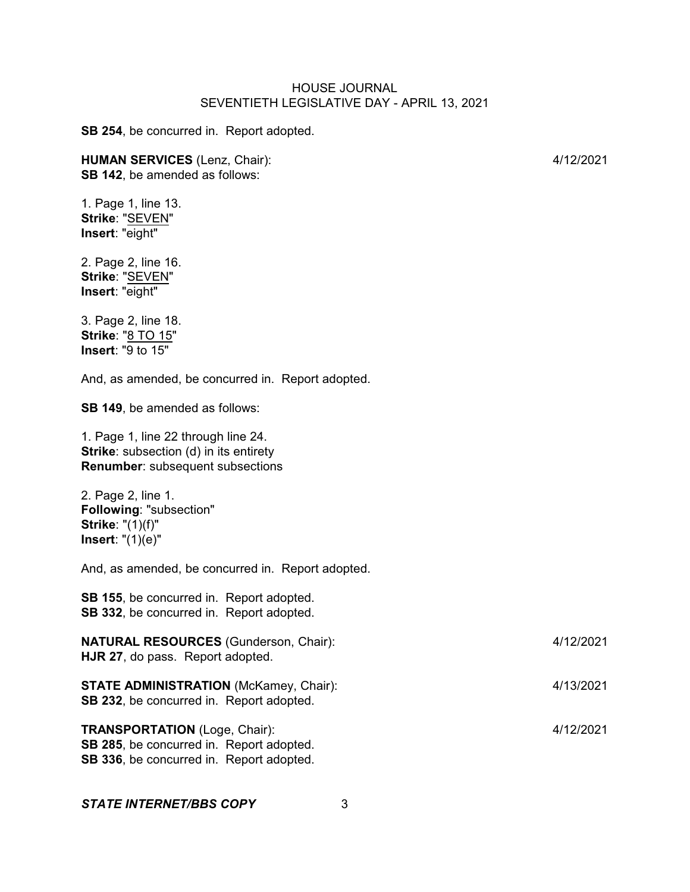**SB 254**, be concurred in. Report adopted.

#### **HUMAN SERVICES** (Lenz, Chair): 4/12/2021 **SB 142**, be amended as follows:

1. Page 1, line 13. **Strike**: "SEVEN" **Insert**: "eight"

2. Page 2, line 16. **Strike**: "SEVEN" **Insert**: "eight"

3. Page 2, line 18. **Strike**: "8 TO 15" **Insert**: "9 to 15"

And, as amended, be concurred in. Report adopted.

**SB 149**, be amended as follows:

1. Page 1, line 22 through line 24. **Strike:** subsection (d) in its entirety **Renumber**: subsequent subsections

2. Page 2, line 1. **Following**: "subsection" **Strike**: "(1)(f)" **Insert**: "(1)(e)"

And, as amended, be concurred in. Report adopted.

**SB 155**, be concurred in. Report adopted. **SB 332**, be concurred in. Report adopted.

| <b>NATURAL RESOURCES</b> (Gunderson, Chair):<br>HJR 27, do pass. Report adopted.          | 4/12/2021 |
|-------------------------------------------------------------------------------------------|-----------|
| <b>STATE ADMINISTRATION (McKamey, Chair):</b><br>SB 232, be concurred in. Report adopted. | 4/13/2021 |
| <b>TRANSPORTATION</b> (Loge, Chair):                                                      | 4/12/2021 |

**SB 285**, be concurred in. Report adopted. **SB 336**, be concurred in. Report adopted.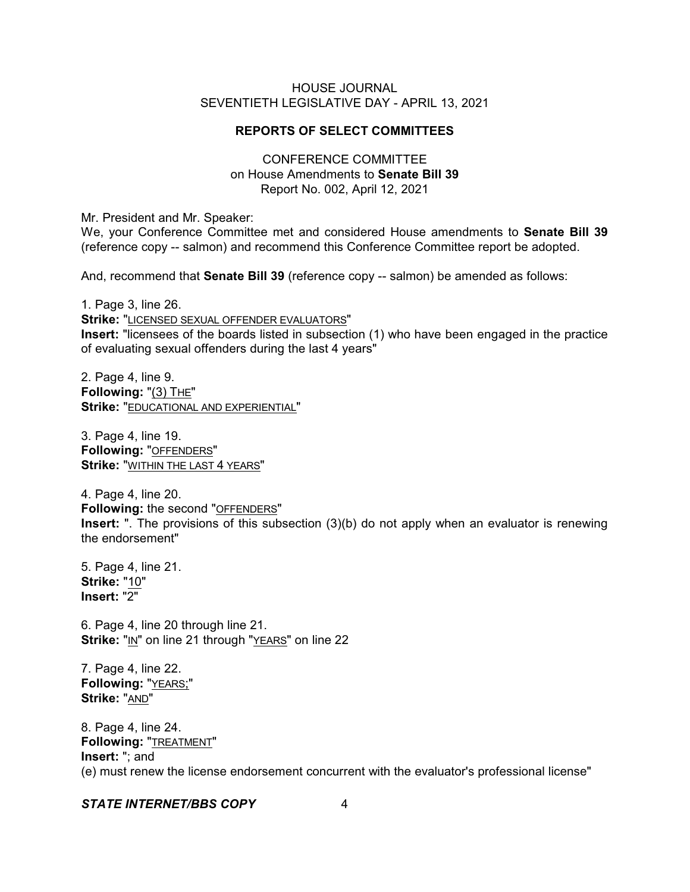# **REPORTS OF SELECT COMMITTEES**

# CONFERENCE COMMITTEE on House Amendments to **Senate Bill 39** Report No. 002, April 12, 2021

Mr. President and Mr. Speaker:

We, your Conference Committee met and considered House amendments to **Senate Bill 39** (reference copy -- salmon) and recommend this Conference Committee report be adopted.

And, recommend that **Senate Bill 39** (reference copy -- salmon) be amended as follows:

1. Page 3, line 26.

**Strike:** "LICENSED SEXUAL OFFENDER EVALUATORS" **Insert:** "licensees of the boards listed in subsection (1) who have been engaged in the practice of evaluating sexual offenders during the last 4 years"

2. Page 4, line 9. **Following:** "(3) THE" **Strike:** "EDUCATIONAL AND EXPERIENTIAL"

3. Page 4, line 19. **Following:** "OFFENDERS" **Strike:** "WITHIN THE LAST 4 YEARS"

4. Page 4, line 20. **Following:** the second "OFFENDERS" **Insert:** ". The provisions of this subsection (3)(b) do not apply when an evaluator is renewing the endorsement"

5. Page 4, line 21. **Strike:** "10" **Insert:** "2"

6. Page 4, line 20 through line 21. **Strike:** "IN" on line 21 through "YEARS" on line 22

7. Page 4, line 22. **Following:** "YEARS;" **Strike:** "AND"

8. Page 4, line 24. **Following:** "TREATMENT" **Insert:** "; and (e) must renew the license endorsement concurrent with the evaluator's professional license"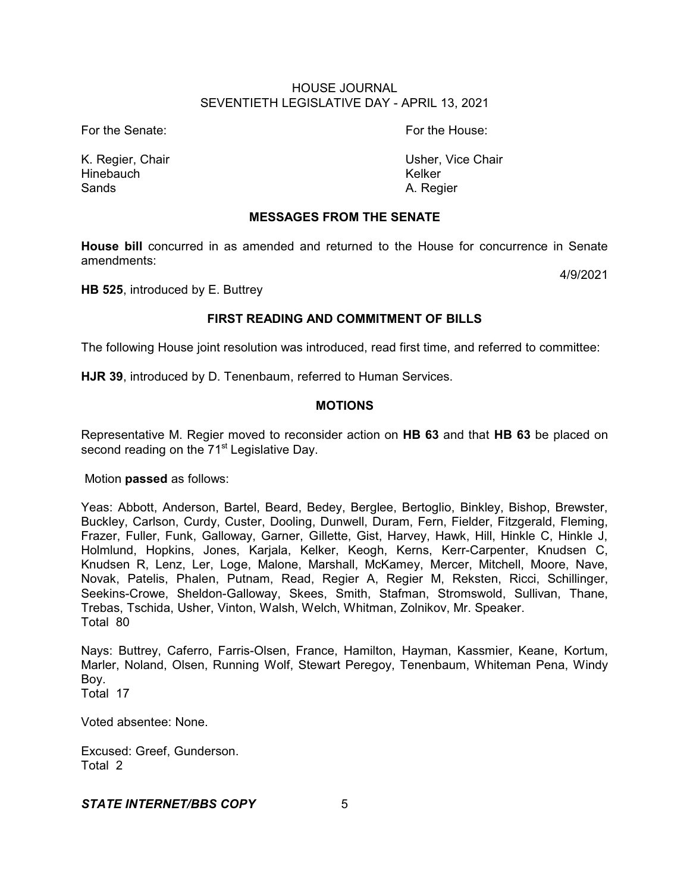For the Senate: The Senate: The Senate: The House: The House: The House: The House: The House: The House: The House: The House: The House: The House: The House: The House: The House: The House: The House: The House: The Ho

Hinebauch Kelker Sands **A. Regier** 

K. Regier, Chair **Vice Chair Vice Chair** Usher, Vice Chair

# **MESSAGES FROM THE SENATE**

**House bill** concurred in as amended and returned to the House for concurrence in Senate amendments:

4/9/2021

**HB 525**, introduced by E. Buttrey

# **FIRST READING AND COMMITMENT OF BILLS**

The following House joint resolution was introduced, read first time, and referred to committee:

**HJR 39**, introduced by D. Tenenbaum, referred to Human Services.

# **MOTIONS**

Representative M. Regier moved to reconsider action on **HB 63** and that **HB 63** be placed on second reading on the 71<sup>st</sup> Legislative Day.

# Motion **passed** as follows:

Yeas: Abbott, Anderson, Bartel, Beard, Bedey, Berglee, Bertoglio, Binkley, Bishop, Brewster, Buckley, Carlson, Curdy, Custer, Dooling, Dunwell, Duram, Fern, Fielder, Fitzgerald, Fleming, Frazer, Fuller, Funk, Galloway, Garner, Gillette, Gist, Harvey, Hawk, Hill, Hinkle C, Hinkle J, Holmlund, Hopkins, Jones, Karjala, Kelker, Keogh, Kerns, Kerr-Carpenter, Knudsen C, Knudsen R, Lenz, Ler, Loge, Malone, Marshall, McKamey, Mercer, Mitchell, Moore, Nave, Novak, Patelis, Phalen, Putnam, Read, Regier A, Regier M, Reksten, Ricci, Schillinger, Seekins-Crowe, Sheldon-Galloway, Skees, Smith, Stafman, Stromswold, Sullivan, Thane, Trebas, Tschida, Usher, Vinton, Walsh, Welch, Whitman, Zolnikov, Mr. Speaker. Total 80

Nays: Buttrey, Caferro, Farris-Olsen, France, Hamilton, Hayman, Kassmier, Keane, Kortum, Marler, Noland, Olsen, Running Wolf, Stewart Peregoy, Tenenbaum, Whiteman Pena, Windy Boy.

Total 17

Voted absentee: None.

Excused: Greef, Gunderson. Total 2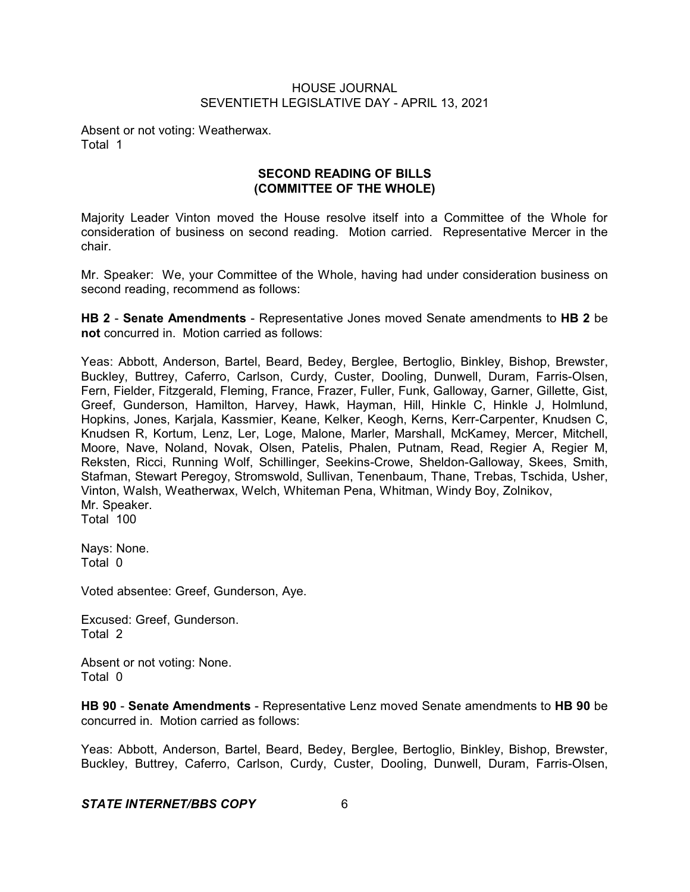Absent or not voting: Weatherwax. Total 1

# **SECOND READING OF BILLS (COMMITTEE OF THE WHOLE)**

Majority Leader Vinton moved the House resolve itself into a Committee of the Whole for consideration of business on second reading. Motion carried. Representative Mercer in the chair.

Mr. Speaker: We, your Committee of the Whole, having had under consideration business on second reading, recommend as follows:

**HB 2** - **Senate Amendments** - Representative Jones moved Senate amendments to **HB 2** be **not** concurred in. Motion carried as follows:

Yeas: Abbott, Anderson, Bartel, Beard, Bedey, Berglee, Bertoglio, Binkley, Bishop, Brewster, Buckley, Buttrey, Caferro, Carlson, Curdy, Custer, Dooling, Dunwell, Duram, Farris-Olsen, Fern, Fielder, Fitzgerald, Fleming, France, Frazer, Fuller, Funk, Galloway, Garner, Gillette, Gist, Greef, Gunderson, Hamilton, Harvey, Hawk, Hayman, Hill, Hinkle C, Hinkle J, Holmlund, Hopkins, Jones, Karjala, Kassmier, Keane, Kelker, Keogh, Kerns, Kerr-Carpenter, Knudsen C, Knudsen R, Kortum, Lenz, Ler, Loge, Malone, Marler, Marshall, McKamey, Mercer, Mitchell, Moore, Nave, Noland, Novak, Olsen, Patelis, Phalen, Putnam, Read, Regier A, Regier M, Reksten, Ricci, Running Wolf, Schillinger, Seekins-Crowe, Sheldon-Galloway, Skees, Smith, Stafman, Stewart Peregoy, Stromswold, Sullivan, Tenenbaum, Thane, Trebas, Tschida, Usher, Vinton, Walsh, Weatherwax, Welch, Whiteman Pena, Whitman, Windy Boy, Zolnikov, Mr. Speaker. Total 100

Nays: None. Total 0

Voted absentee: Greef, Gunderson, Aye.

Excused: Greef, Gunderson. Total 2

Absent or not voting: None. Total 0

**HB 90** - **Senate Amendments** - Representative Lenz moved Senate amendments to **HB 90** be concurred in. Motion carried as follows:

Yeas: Abbott, Anderson, Bartel, Beard, Bedey, Berglee, Bertoglio, Binkley, Bishop, Brewster, Buckley, Buttrey, Caferro, Carlson, Curdy, Custer, Dooling, Dunwell, Duram, Farris-Olsen,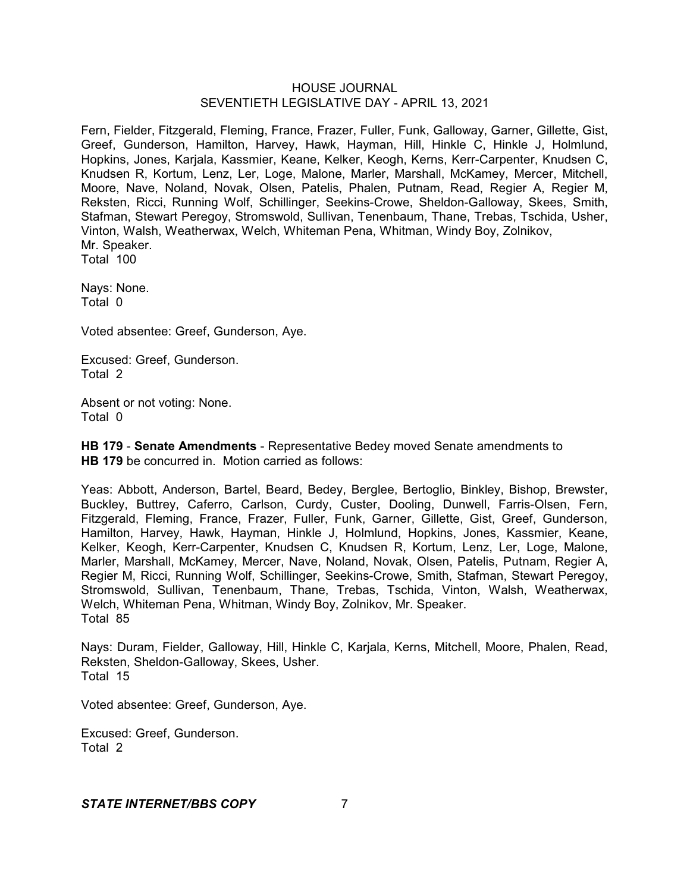Fern, Fielder, Fitzgerald, Fleming, France, Frazer, Fuller, Funk, Galloway, Garner, Gillette, Gist, Greef, Gunderson, Hamilton, Harvey, Hawk, Hayman, Hill, Hinkle C, Hinkle J, Holmlund, Hopkins, Jones, Karjala, Kassmier, Keane, Kelker, Keogh, Kerns, Kerr-Carpenter, Knudsen C, Knudsen R, Kortum, Lenz, Ler, Loge, Malone, Marler, Marshall, McKamey, Mercer, Mitchell, Moore, Nave, Noland, Novak, Olsen, Patelis, Phalen, Putnam, Read, Regier A, Regier M, Reksten, Ricci, Running Wolf, Schillinger, Seekins-Crowe, Sheldon-Galloway, Skees, Smith, Stafman, Stewart Peregoy, Stromswold, Sullivan, Tenenbaum, Thane, Trebas, Tschida, Usher, Vinton, Walsh, Weatherwax, Welch, Whiteman Pena, Whitman, Windy Boy, Zolnikov, Mr. Speaker. Total 100

Nays: None. Total 0

Voted absentee: Greef, Gunderson, Aye.

Excused: Greef, Gunderson. Total 2

Absent or not voting: None. Total 0

**HB 179** - **Senate Amendments** - Representative Bedey moved Senate amendments to **HB 179** be concurred in. Motion carried as follows:

Yeas: Abbott, Anderson, Bartel, Beard, Bedey, Berglee, Bertoglio, Binkley, Bishop, Brewster, Buckley, Buttrey, Caferro, Carlson, Curdy, Custer, Dooling, Dunwell, Farris-Olsen, Fern, Fitzgerald, Fleming, France, Frazer, Fuller, Funk, Garner, Gillette, Gist, Greef, Gunderson, Hamilton, Harvey, Hawk, Hayman, Hinkle J, Holmlund, Hopkins, Jones, Kassmier, Keane, Kelker, Keogh, Kerr-Carpenter, Knudsen C, Knudsen R, Kortum, Lenz, Ler, Loge, Malone, Marler, Marshall, McKamey, Mercer, Nave, Noland, Novak, Olsen, Patelis, Putnam, Regier A, Regier M, Ricci, Running Wolf, Schillinger, Seekins-Crowe, Smith, Stafman, Stewart Peregoy, Stromswold, Sullivan, Tenenbaum, Thane, Trebas, Tschida, Vinton, Walsh, Weatherwax, Welch, Whiteman Pena, Whitman, Windy Boy, Zolnikov, Mr. Speaker. Total 85

Nays: Duram, Fielder, Galloway, Hill, Hinkle C, Karjala, Kerns, Mitchell, Moore, Phalen, Read, Reksten, Sheldon-Galloway, Skees, Usher. Total 15

Voted absentee: Greef, Gunderson, Aye.

Excused: Greef, Gunderson. Total 2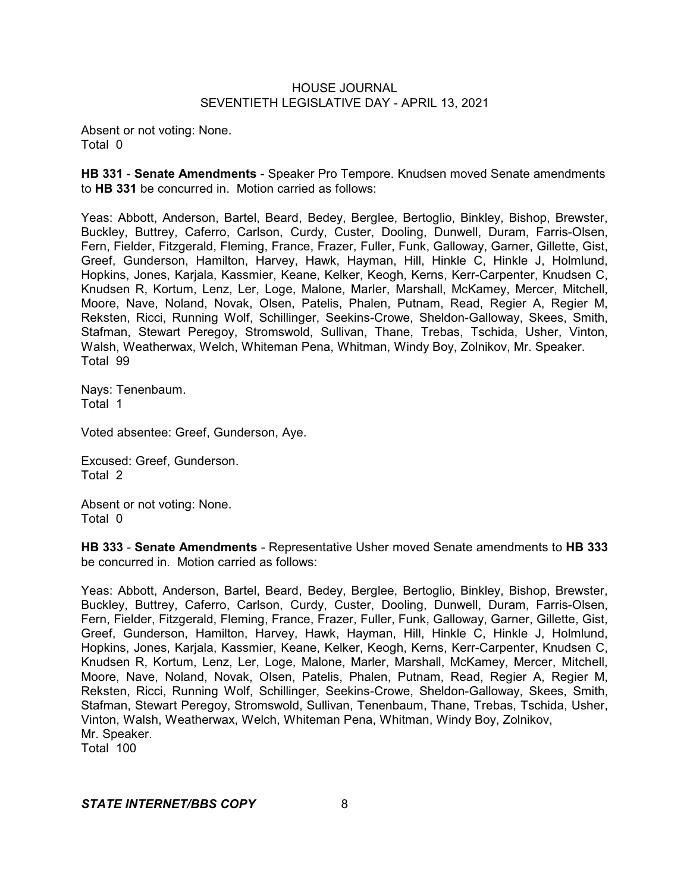Absent or not voting: None. Total 0

**HB 331** - **Senate Amendments** - Speaker Pro Tempore. Knudsen moved Senate amendments to **HB 331** be concurred in. Motion carried as follows:

Yeas: Abbott, Anderson, Bartel, Beard, Bedey, Berglee, Bertoglio, Binkley, Bishop, Brewster, Buckley, Buttrey, Caferro, Carlson, Curdy, Custer, Dooling, Dunwell, Duram, Farris-Olsen, Fern, Fielder, Fitzgerald, Fleming, France, Frazer, Fuller, Funk, Galloway, Garner, Gillette, Gist, Greef, Gunderson, Hamilton, Harvey, Hawk, Hayman, Hill, Hinkle C, Hinkle J, Holmlund, Hopkins, Jones, Karjala, Kassmier, Keane, Kelker, Keogh, Kerns, Kerr-Carpenter, Knudsen C, Knudsen R, Kortum, Lenz, Ler, Loge, Malone, Marler, Marshall, McKamey, Mercer, Mitchell, Moore, Nave, Noland, Novak, Olsen, Patelis, Phalen, Putnam, Read, Regier A, Regier M, Reksten, Ricci, Running Wolf, Schillinger, Seekins-Crowe, Sheldon-Galloway, Skees, Smith, Stafman, Stewart Peregoy, Stromswold, Sullivan, Thane, Trebas, Tschida, Usher, Vinton, Walsh, Weatherwax, Welch, Whiteman Pena, Whitman, Windy Boy, Zolnikov, Mr. Speaker. Total 99

Nays: Tenenbaum. Total 1

Voted absentee: Greef, Gunderson, Aye.

Excused: Greef, Gunderson. Total 2

Absent or not voting: None. Total 0

**HB 333** - **Senate Amendments** - Representative Usher moved Senate amendments to **HB 333** be concurred in. Motion carried as follows:

Yeas: Abbott, Anderson, Bartel, Beard, Bedey, Berglee, Bertoglio, Binkley, Bishop, Brewster, Buckley, Buttrey, Caferro, Carlson, Curdy, Custer, Dooling, Dunwell, Duram, Farris-Olsen, Fern, Fielder, Fitzgerald, Fleming, France, Frazer, Fuller, Funk, Galloway, Garner, Gillette, Gist, Greef, Gunderson, Hamilton, Harvey, Hawk, Hayman, Hill, Hinkle C, Hinkle J, Holmlund, Hopkins, Jones, Karjala, Kassmier, Keane, Kelker, Keogh, Kerns, Kerr-Carpenter, Knudsen C, Knudsen R, Kortum, Lenz, Ler, Loge, Malone, Marler, Marshall, McKamey, Mercer, Mitchell, Moore, Nave, Noland, Novak, Olsen, Patelis, Phalen, Putnam, Read, Regier A, Regier M, Reksten, Ricci, Running Wolf, Schillinger, Seekins-Crowe, Sheldon-Galloway, Skees, Smith, Stafman, Stewart Peregoy, Stromswold, Sullivan, Tenenbaum, Thane, Trebas, Tschida, Usher, Vinton, Walsh, Weatherwax, Welch, Whiteman Pena, Whitman, Windy Boy, Zolnikov, Mr. Speaker.

Total 100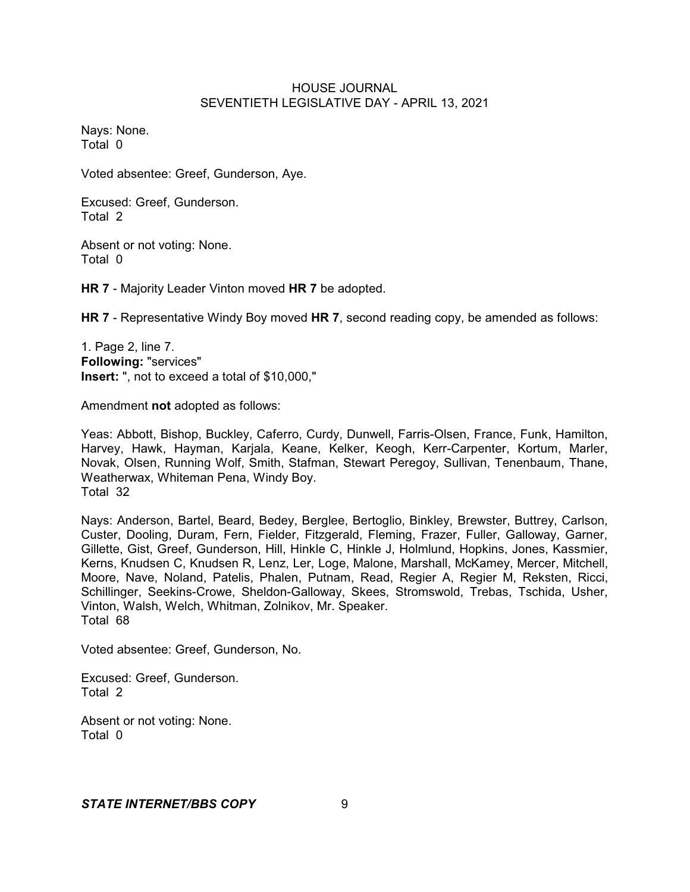Nays: None. Total 0

Voted absentee: Greef, Gunderson, Aye.

Excused: Greef, Gunderson. Total 2

Absent or not voting: None. Total 0

**HR 7** - Majority Leader Vinton moved **HR 7** be adopted.

**HR 7** - Representative Windy Boy moved **HR 7**, second reading copy, be amended as follows:

1. Page 2, line 7. **Following:** "services" **Insert:** ", not to exceed a total of \$10,000,"

Amendment **not** adopted as follows:

Yeas: Abbott, Bishop, Buckley, Caferro, Curdy, Dunwell, Farris-Olsen, France, Funk, Hamilton, Harvey, Hawk, Hayman, Karjala, Keane, Kelker, Keogh, Kerr-Carpenter, Kortum, Marler, Novak, Olsen, Running Wolf, Smith, Stafman, Stewart Peregoy, Sullivan, Tenenbaum, Thane, Weatherwax, Whiteman Pena, Windy Boy. Total 32

Nays: Anderson, Bartel, Beard, Bedey, Berglee, Bertoglio, Binkley, Brewster, Buttrey, Carlson, Custer, Dooling, Duram, Fern, Fielder, Fitzgerald, Fleming, Frazer, Fuller, Galloway, Garner, Gillette, Gist, Greef, Gunderson, Hill, Hinkle C, Hinkle J, Holmlund, Hopkins, Jones, Kassmier, Kerns, Knudsen C, Knudsen R, Lenz, Ler, Loge, Malone, Marshall, McKamey, Mercer, Mitchell, Moore, Nave, Noland, Patelis, Phalen, Putnam, Read, Regier A, Regier M, Reksten, Ricci, Schillinger, Seekins-Crowe, Sheldon-Galloway, Skees, Stromswold, Trebas, Tschida, Usher, Vinton, Walsh, Welch, Whitman, Zolnikov, Mr. Speaker. Total 68

Voted absentee: Greef, Gunderson, No.

Excused: Greef, Gunderson. Total 2

Absent or not voting: None. Total 0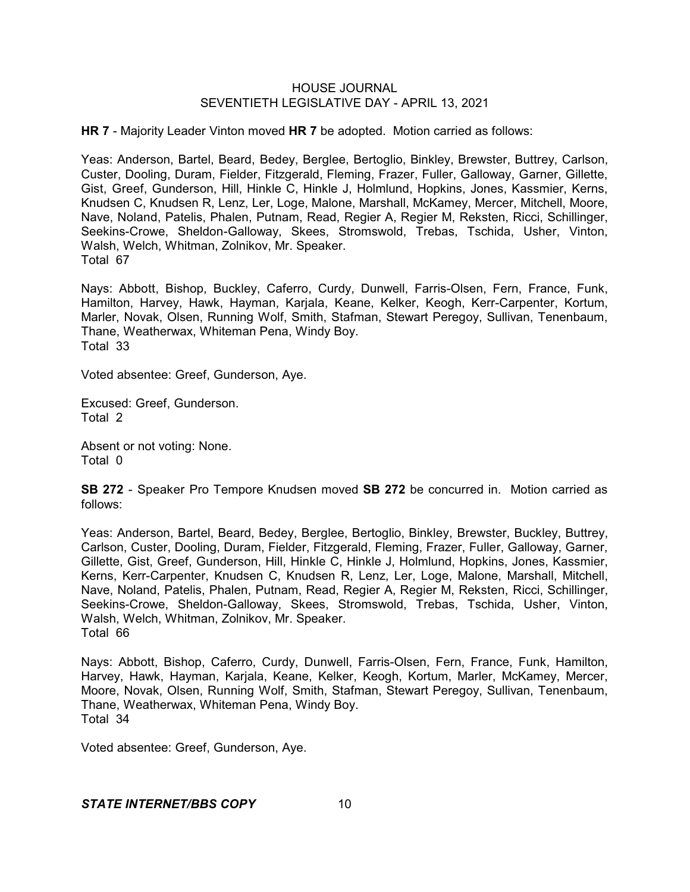**HR 7** - Majority Leader Vinton moved **HR 7** be adopted. Motion carried as follows:

Yeas: Anderson, Bartel, Beard, Bedey, Berglee, Bertoglio, Binkley, Brewster, Buttrey, Carlson, Custer, Dooling, Duram, Fielder, Fitzgerald, Fleming, Frazer, Fuller, Galloway, Garner, Gillette, Gist, Greef, Gunderson, Hill, Hinkle C, Hinkle J, Holmlund, Hopkins, Jones, Kassmier, Kerns, Knudsen C, Knudsen R, Lenz, Ler, Loge, Malone, Marshall, McKamey, Mercer, Mitchell, Moore, Nave, Noland, Patelis, Phalen, Putnam, Read, Regier A, Regier M, Reksten, Ricci, Schillinger, Seekins-Crowe, Sheldon-Galloway, Skees, Stromswold, Trebas, Tschida, Usher, Vinton, Walsh, Welch, Whitman, Zolnikov, Mr. Speaker. Total 67

Nays: Abbott, Bishop, Buckley, Caferro, Curdy, Dunwell, Farris-Olsen, Fern, France, Funk, Hamilton, Harvey, Hawk, Hayman, Karjala, Keane, Kelker, Keogh, Kerr-Carpenter, Kortum, Marler, Novak, Olsen, Running Wolf, Smith, Stafman, Stewart Peregoy, Sullivan, Tenenbaum, Thane, Weatherwax, Whiteman Pena, Windy Boy. Total 33

Voted absentee: Greef, Gunderson, Aye.

Excused: Greef, Gunderson. Total 2

Absent or not voting: None. Total 0

**SB 272** - Speaker Pro Tempore Knudsen moved **SB 272** be concurred in. Motion carried as follows:

Yeas: Anderson, Bartel, Beard, Bedey, Berglee, Bertoglio, Binkley, Brewster, Buckley, Buttrey, Carlson, Custer, Dooling, Duram, Fielder, Fitzgerald, Fleming, Frazer, Fuller, Galloway, Garner, Gillette, Gist, Greef, Gunderson, Hill, Hinkle C, Hinkle J, Holmlund, Hopkins, Jones, Kassmier, Kerns, Kerr-Carpenter, Knudsen C, Knudsen R, Lenz, Ler, Loge, Malone, Marshall, Mitchell, Nave, Noland, Patelis, Phalen, Putnam, Read, Regier A, Regier M, Reksten, Ricci, Schillinger, Seekins-Crowe, Sheldon-Galloway, Skees, Stromswold, Trebas, Tschida, Usher, Vinton, Walsh, Welch, Whitman, Zolnikov, Mr. Speaker. Total 66

Nays: Abbott, Bishop, Caferro, Curdy, Dunwell, Farris-Olsen, Fern, France, Funk, Hamilton, Harvey, Hawk, Hayman, Karjala, Keane, Kelker, Keogh, Kortum, Marler, McKamey, Mercer, Moore, Novak, Olsen, Running Wolf, Smith, Stafman, Stewart Peregoy, Sullivan, Tenenbaum, Thane, Weatherwax, Whiteman Pena, Windy Boy. Total 34

Voted absentee: Greef, Gunderson, Aye.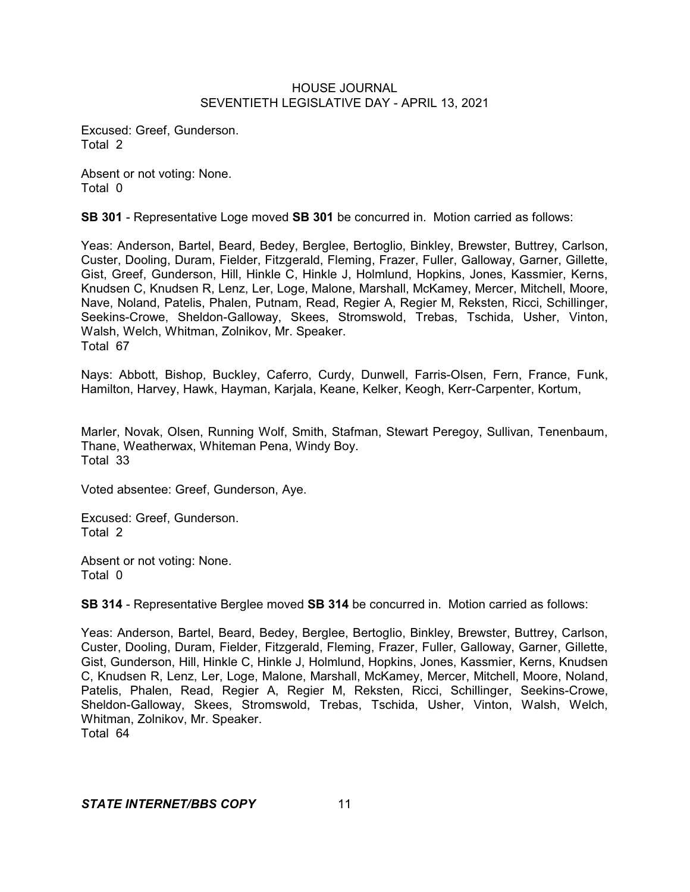Excused: Greef, Gunderson. Total 2

Absent or not voting: None. Total 0

**SB 301** - Representative Loge moved **SB 301** be concurred in. Motion carried as follows:

Yeas: Anderson, Bartel, Beard, Bedey, Berglee, Bertoglio, Binkley, Brewster, Buttrey, Carlson, Custer, Dooling, Duram, Fielder, Fitzgerald, Fleming, Frazer, Fuller, Galloway, Garner, Gillette, Gist, Greef, Gunderson, Hill, Hinkle C, Hinkle J, Holmlund, Hopkins, Jones, Kassmier, Kerns, Knudsen C, Knudsen R, Lenz, Ler, Loge, Malone, Marshall, McKamey, Mercer, Mitchell, Moore, Nave, Noland, Patelis, Phalen, Putnam, Read, Regier A, Regier M, Reksten, Ricci, Schillinger, Seekins-Crowe, Sheldon-Galloway, Skees, Stromswold, Trebas, Tschida, Usher, Vinton, Walsh, Welch, Whitman, Zolnikov, Mr. Speaker. Total 67

Nays: Abbott, Bishop, Buckley, Caferro, Curdy, Dunwell, Farris-Olsen, Fern, France, Funk, Hamilton, Harvey, Hawk, Hayman, Karjala, Keane, Kelker, Keogh, Kerr-Carpenter, Kortum,

Marler, Novak, Olsen, Running Wolf, Smith, Stafman, Stewart Peregoy, Sullivan, Tenenbaum, Thane, Weatherwax, Whiteman Pena, Windy Boy. Total 33

Voted absentee: Greef, Gunderson, Aye.

Excused: Greef, Gunderson. Total 2

Absent or not voting: None. Total 0

**SB 314** - Representative Berglee moved **SB 314** be concurred in. Motion carried as follows:

Yeas: Anderson, Bartel, Beard, Bedey, Berglee, Bertoglio, Binkley, Brewster, Buttrey, Carlson, Custer, Dooling, Duram, Fielder, Fitzgerald, Fleming, Frazer, Fuller, Galloway, Garner, Gillette, Gist, Gunderson, Hill, Hinkle C, Hinkle J, Holmlund, Hopkins, Jones, Kassmier, Kerns, Knudsen C, Knudsen R, Lenz, Ler, Loge, Malone, Marshall, McKamey, Mercer, Mitchell, Moore, Noland, Patelis, Phalen, Read, Regier A, Regier M, Reksten, Ricci, Schillinger, Seekins-Crowe, Sheldon-Galloway, Skees, Stromswold, Trebas, Tschida, Usher, Vinton, Walsh, Welch, Whitman, Zolnikov, Mr. Speaker. Total 64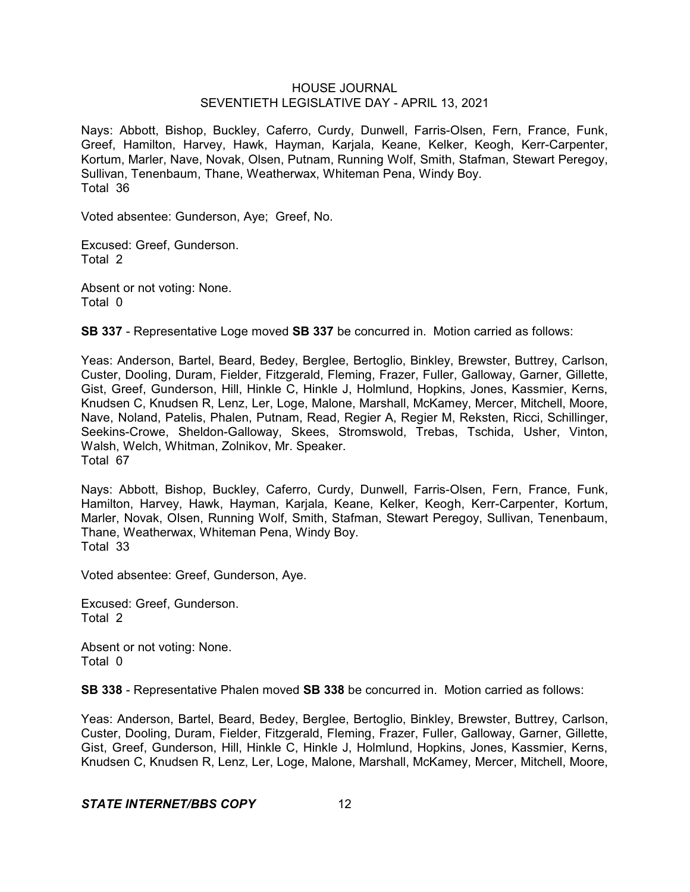Nays: Abbott, Bishop, Buckley, Caferro, Curdy, Dunwell, Farris-Olsen, Fern, France, Funk, Greef, Hamilton, Harvey, Hawk, Hayman, Karjala, Keane, Kelker, Keogh, Kerr-Carpenter, Kortum, Marler, Nave, Novak, Olsen, Putnam, Running Wolf, Smith, Stafman, Stewart Peregoy, Sullivan, Tenenbaum, Thane, Weatherwax, Whiteman Pena, Windy Boy. Total 36

Voted absentee: Gunderson, Aye; Greef, No.

Excused: Greef, Gunderson. Total 2

Absent or not voting: None. Total 0

**SB 337** - Representative Loge moved **SB 337** be concurred in. Motion carried as follows:

Yeas: Anderson, Bartel, Beard, Bedey, Berglee, Bertoglio, Binkley, Brewster, Buttrey, Carlson, Custer, Dooling, Duram, Fielder, Fitzgerald, Fleming, Frazer, Fuller, Galloway, Garner, Gillette, Gist, Greef, Gunderson, Hill, Hinkle C, Hinkle J, Holmlund, Hopkins, Jones, Kassmier, Kerns, Knudsen C, Knudsen R, Lenz, Ler, Loge, Malone, Marshall, McKamey, Mercer, Mitchell, Moore, Nave, Noland, Patelis, Phalen, Putnam, Read, Regier A, Regier M, Reksten, Ricci, Schillinger, Seekins-Crowe, Sheldon-Galloway, Skees, Stromswold, Trebas, Tschida, Usher, Vinton, Walsh, Welch, Whitman, Zolnikov, Mr. Speaker. Total 67

Nays: Abbott, Bishop, Buckley, Caferro, Curdy, Dunwell, Farris-Olsen, Fern, France, Funk, Hamilton, Harvey, Hawk, Hayman, Karjala, Keane, Kelker, Keogh, Kerr-Carpenter, Kortum, Marler, Novak, Olsen, Running Wolf, Smith, Stafman, Stewart Peregoy, Sullivan, Tenenbaum, Thane, Weatherwax, Whiteman Pena, Windy Boy. Total 33

Voted absentee: Greef, Gunderson, Aye.

Excused: Greef, Gunderson. Total 2

Absent or not voting: None. Total 0

**SB 338** - Representative Phalen moved **SB 338** be concurred in. Motion carried as follows:

Yeas: Anderson, Bartel, Beard, Bedey, Berglee, Bertoglio, Binkley, Brewster, Buttrey, Carlson, Custer, Dooling, Duram, Fielder, Fitzgerald, Fleming, Frazer, Fuller, Galloway, Garner, Gillette, Gist, Greef, Gunderson, Hill, Hinkle C, Hinkle J, Holmlund, Hopkins, Jones, Kassmier, Kerns, Knudsen C, Knudsen R, Lenz, Ler, Loge, Malone, Marshall, McKamey, Mercer, Mitchell, Moore,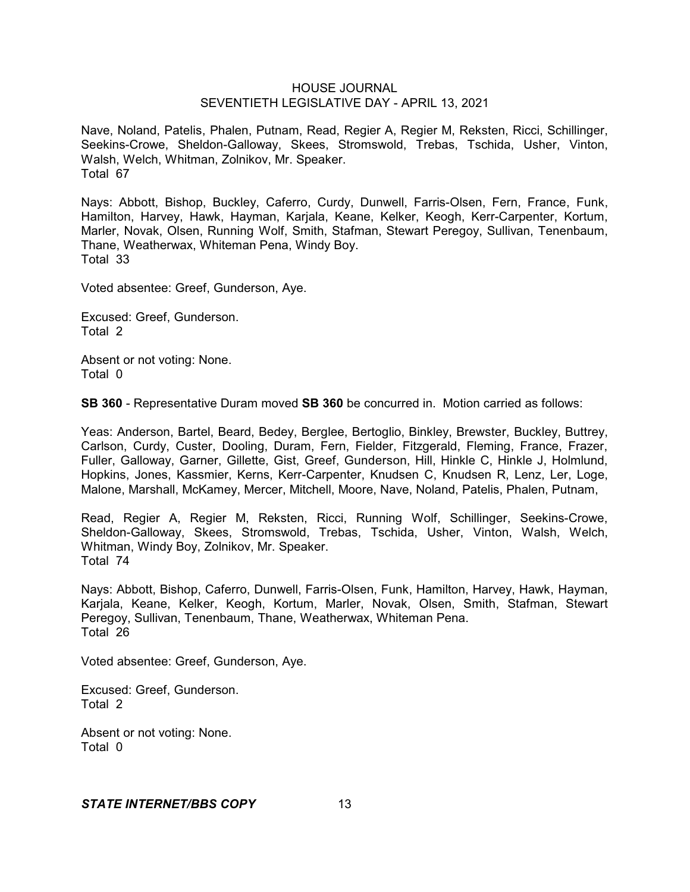Nave, Noland, Patelis, Phalen, Putnam, Read, Regier A, Regier M, Reksten, Ricci, Schillinger, Seekins-Crowe, Sheldon-Galloway, Skees, Stromswold, Trebas, Tschida, Usher, Vinton, Walsh, Welch, Whitman, Zolnikov, Mr. Speaker. Total 67

Nays: Abbott, Bishop, Buckley, Caferro, Curdy, Dunwell, Farris-Olsen, Fern, France, Funk, Hamilton, Harvey, Hawk, Hayman, Karjala, Keane, Kelker, Keogh, Kerr-Carpenter, Kortum, Marler, Novak, Olsen, Running Wolf, Smith, Stafman, Stewart Peregoy, Sullivan, Tenenbaum, Thane, Weatherwax, Whiteman Pena, Windy Boy. Total 33

Voted absentee: Greef, Gunderson, Aye.

Excused: Greef, Gunderson. Total 2

Absent or not voting: None. Total 0

**SB 360** - Representative Duram moved **SB 360** be concurred in. Motion carried as follows:

Yeas: Anderson, Bartel, Beard, Bedey, Berglee, Bertoglio, Binkley, Brewster, Buckley, Buttrey, Carlson, Curdy, Custer, Dooling, Duram, Fern, Fielder, Fitzgerald, Fleming, France, Frazer, Fuller, Galloway, Garner, Gillette, Gist, Greef, Gunderson, Hill, Hinkle C, Hinkle J, Holmlund, Hopkins, Jones, Kassmier, Kerns, Kerr-Carpenter, Knudsen C, Knudsen R, Lenz, Ler, Loge, Malone, Marshall, McKamey, Mercer, Mitchell, Moore, Nave, Noland, Patelis, Phalen, Putnam,

Read, Regier A, Regier M, Reksten, Ricci, Running Wolf, Schillinger, Seekins-Crowe, Sheldon-Galloway, Skees, Stromswold, Trebas, Tschida, Usher, Vinton, Walsh, Welch, Whitman, Windy Boy, Zolnikov, Mr. Speaker. Total 74

Nays: Abbott, Bishop, Caferro, Dunwell, Farris-Olsen, Funk, Hamilton, Harvey, Hawk, Hayman, Karjala, Keane, Kelker, Keogh, Kortum, Marler, Novak, Olsen, Smith, Stafman, Stewart Peregoy, Sullivan, Tenenbaum, Thane, Weatherwax, Whiteman Pena. Total 26

Voted absentee: Greef, Gunderson, Aye.

Excused: Greef, Gunderson. Total 2

Absent or not voting: None. Total 0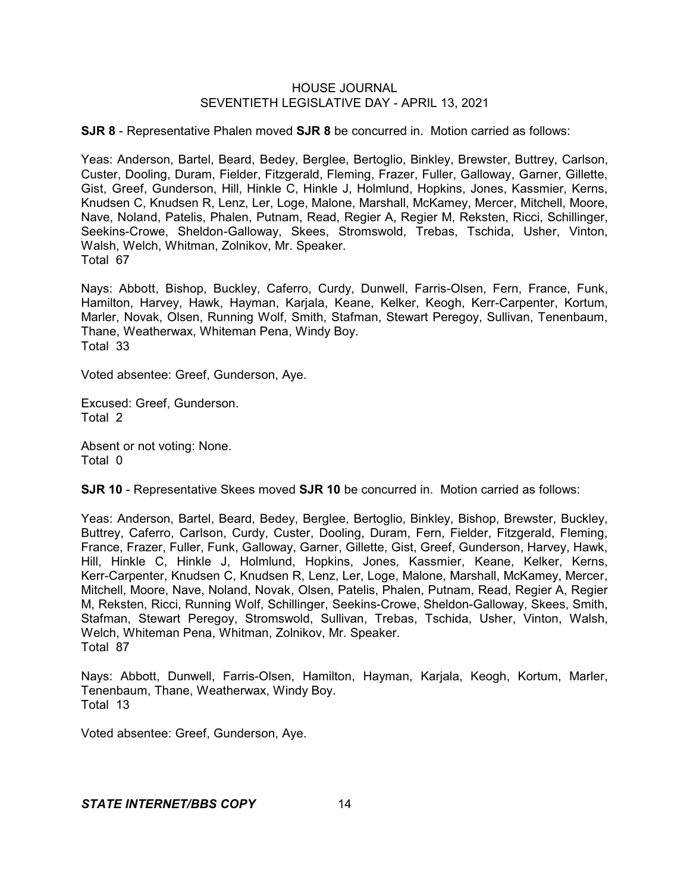**SJR 8** - Representative Phalen moved **SJR 8** be concurred in. Motion carried as follows:

Yeas: Anderson, Bartel, Beard, Bedey, Berglee, Bertoglio, Binkley, Brewster, Buttrey, Carlson, Custer, Dooling, Duram, Fielder, Fitzgerald, Fleming, Frazer, Fuller, Galloway, Garner, Gillette, Gist, Greef, Gunderson, Hill, Hinkle C, Hinkle J, Holmlund, Hopkins, Jones, Kassmier, Kerns, Knudsen C, Knudsen R, Lenz, Ler, Loge, Malone, Marshall, McKamey, Mercer, Mitchell, Moore, Nave, Noland, Patelis, Phalen, Putnam, Read, Regier A, Regier M, Reksten, Ricci, Schillinger, Seekins-Crowe, Sheldon-Galloway, Skees, Stromswold, Trebas, Tschida, Usher, Vinton, Walsh, Welch, Whitman, Zolnikov, Mr. Speaker. Total 67

Nays: Abbott, Bishop, Buckley, Caferro, Curdy, Dunwell, Farris-Olsen, Fern, France, Funk, Hamilton, Harvey, Hawk, Hayman, Karjala, Keane, Kelker, Keogh, Kerr-Carpenter, Kortum, Marler, Novak, Olsen, Running Wolf, Smith, Stafman, Stewart Peregoy, Sullivan, Tenenbaum, Thane, Weatherwax, Whiteman Pena, Windy Boy. Total 33

Voted absentee: Greef, Gunderson, Aye.

Excused: Greef, Gunderson. Total 2

Absent or not voting: None. Total 0

**SJR 10** - Representative Skees moved **SJR 10** be concurred in. Motion carried as follows:

Yeas: Anderson, Bartel, Beard, Bedey, Berglee, Bertoglio, Binkley, Bishop, Brewster, Buckley, Buttrey, Caferro, Carlson, Curdy, Custer, Dooling, Duram, Fern, Fielder, Fitzgerald, Fleming, France, Frazer, Fuller, Funk, Galloway, Garner, Gillette, Gist, Greef, Gunderson, Harvey, Hawk, Hill, Hinkle C, Hinkle J, Holmlund, Hopkins, Jones, Kassmier, Keane, Kelker, Kerns, Kerr-Carpenter, Knudsen C, Knudsen R, Lenz, Ler, Loge, Malone, Marshall, McKamey, Mercer, Mitchell, Moore, Nave, Noland, Novak, Olsen, Patelis, Phalen, Putnam, Read, Regier A, Regier M, Reksten, Ricci, Running Wolf, Schillinger, Seekins-Crowe, Sheldon-Galloway, Skees, Smith, Stafman, Stewart Peregoy, Stromswold, Sullivan, Trebas, Tschida, Usher, Vinton, Walsh, Welch, Whiteman Pena, Whitman, Zolnikov, Mr. Speaker. Total 87

Nays: Abbott, Dunwell, Farris-Olsen, Hamilton, Hayman, Karjala, Keogh, Kortum, Marler, Tenenbaum, Thane, Weatherwax, Windy Boy. Total 13

Voted absentee: Greef, Gunderson, Aye.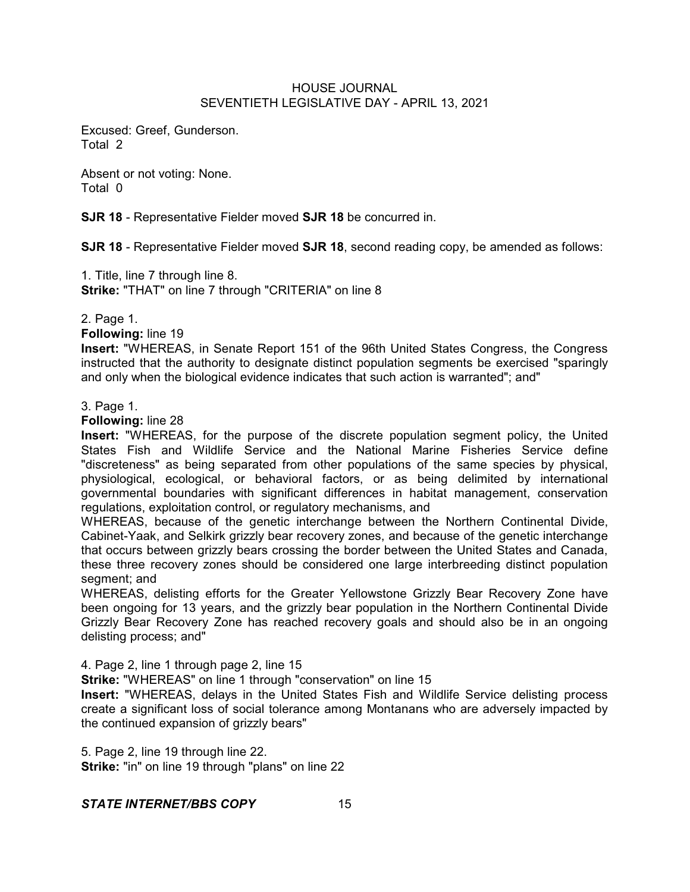Excused: Greef, Gunderson. Total 2

Absent or not voting: None. Total 0

**SJR 18** - Representative Fielder moved **SJR 18** be concurred in.

**SJR 18** - Representative Fielder moved **SJR 18**, second reading copy, be amended as follows:

1. Title, line 7 through line 8.

**Strike:** "THAT" on line 7 through "CRITERIA" on line 8

# 2. Page 1.

**Following:** line 19

**Insert:** "WHEREAS, in Senate Report 151 of the 96th United States Congress, the Congress instructed that the authority to designate distinct population segments be exercised "sparingly and only when the biological evidence indicates that such action is warranted"; and"

# 3. Page 1.

**Following:** line 28

**Insert:** "WHEREAS, for the purpose of the discrete population segment policy, the United States Fish and Wildlife Service and the National Marine Fisheries Service define "discreteness" as being separated from other populations of the same species by physical, physiological, ecological, or behavioral factors, or as being delimited by international governmental boundaries with significant differences in habitat management, conservation regulations, exploitation control, or regulatory mechanisms, and

WHEREAS, because of the genetic interchange between the Northern Continental Divide, Cabinet-Yaak, and Selkirk grizzly bear recovery zones, and because of the genetic interchange that occurs between grizzly bears crossing the border between the United States and Canada, these three recovery zones should be considered one large interbreeding distinct population segment; and

WHEREAS, delisting efforts for the Greater Yellowstone Grizzly Bear Recovery Zone have been ongoing for 13 years, and the grizzly bear population in the Northern Continental Divide Grizzly Bear Recovery Zone has reached recovery goals and should also be in an ongoing delisting process; and"

4. Page 2, line 1 through page 2, line 15

**Strike:** "WHEREAS" on line 1 through "conservation" on line 15

**Insert:** "WHEREAS, delays in the United States Fish and Wildlife Service delisting process create a significant loss of social tolerance among Montanans who are adversely impacted by the continued expansion of grizzly bears"

5. Page 2, line 19 through line 22.

**Strike:** "in" on line 19 through "plans" on line 22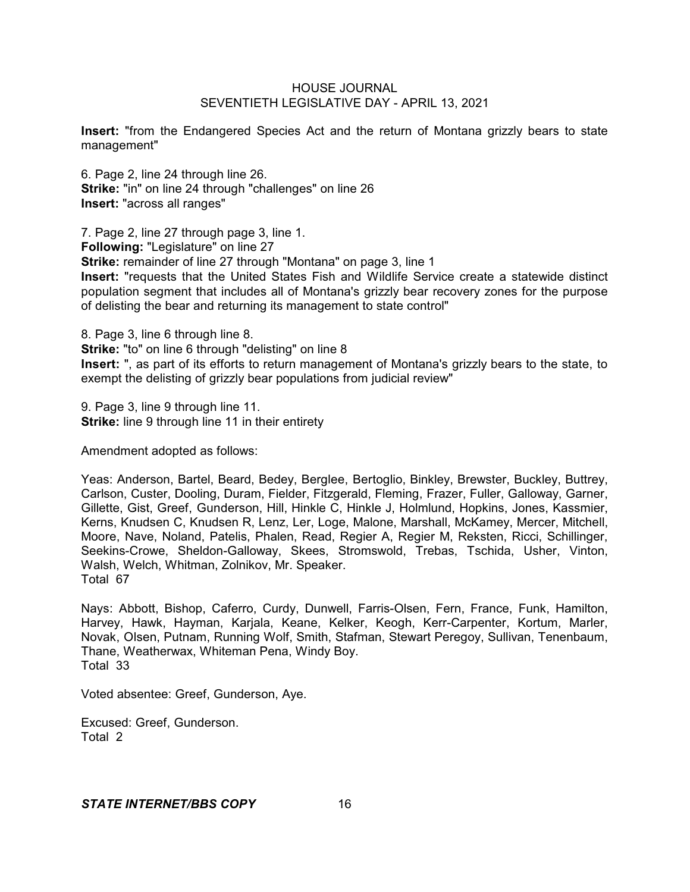**Insert:** "from the Endangered Species Act and the return of Montana grizzly bears to state management"

6. Page 2, line 24 through line 26. **Strike:** "in" on line 24 through "challenges" on line 26 **Insert:** "across all ranges"

7. Page 2, line 27 through page 3, line 1.

**Following:** "Legislature" on line 27

**Strike:** remainder of line 27 through "Montana" on page 3, line 1

**Insert:** "requests that the United States Fish and Wildlife Service create a statewide distinct population segment that includes all of Montana's grizzly bear recovery zones for the purpose of delisting the bear and returning its management to state control"

8. Page 3, line 6 through line 8.

**Strike:** "to" on line 6 through "delisting" on line 8

**Insert:** ", as part of its efforts to return management of Montana's grizzly bears to the state, to exempt the delisting of grizzly bear populations from judicial review"

9. Page 3, line 9 through line 11. **Strike:** line 9 through line 11 in their entirety

Amendment adopted as follows:

Yeas: Anderson, Bartel, Beard, Bedey, Berglee, Bertoglio, Binkley, Brewster, Buckley, Buttrey, Carlson, Custer, Dooling, Duram, Fielder, Fitzgerald, Fleming, Frazer, Fuller, Galloway, Garner, Gillette, Gist, Greef, Gunderson, Hill, Hinkle C, Hinkle J, Holmlund, Hopkins, Jones, Kassmier, Kerns, Knudsen C, Knudsen R, Lenz, Ler, Loge, Malone, Marshall, McKamey, Mercer, Mitchell, Moore, Nave, Noland, Patelis, Phalen, Read, Regier A, Regier M, Reksten, Ricci, Schillinger, Seekins-Crowe, Sheldon-Galloway, Skees, Stromswold, Trebas, Tschida, Usher, Vinton, Walsh, Welch, Whitman, Zolnikov, Mr. Speaker. Total 67

Nays: Abbott, Bishop, Caferro, Curdy, Dunwell, Farris-Olsen, Fern, France, Funk, Hamilton, Harvey, Hawk, Hayman, Karjala, Keane, Kelker, Keogh, Kerr-Carpenter, Kortum, Marler, Novak, Olsen, Putnam, Running Wolf, Smith, Stafman, Stewart Peregoy, Sullivan, Tenenbaum, Thane, Weatherwax, Whiteman Pena, Windy Boy. Total 33

Voted absentee: Greef, Gunderson, Aye.

Excused: Greef, Gunderson. Total 2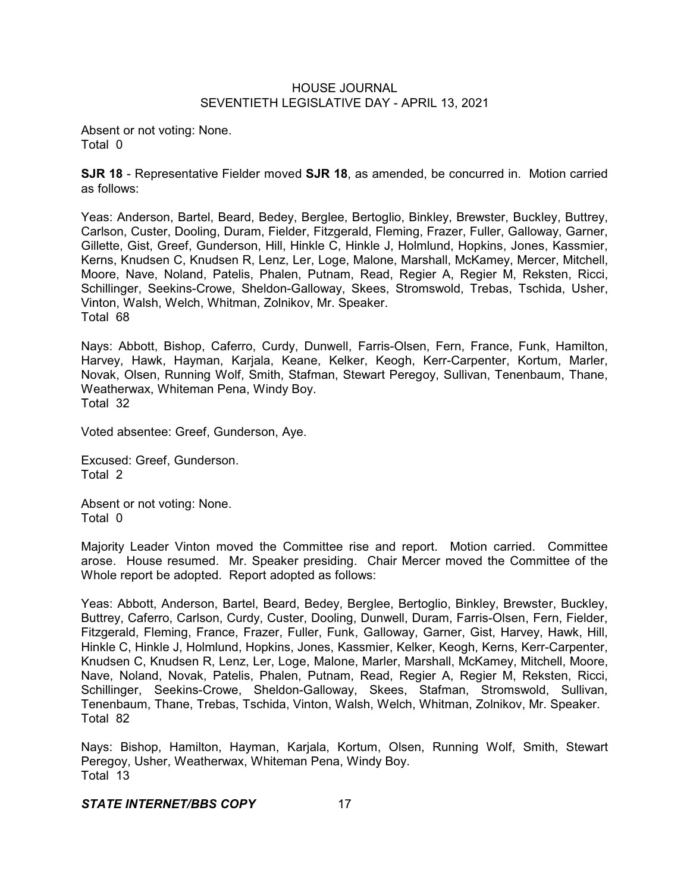Absent or not voting: None. Total 0

**SJR 18** - Representative Fielder moved **SJR 18**, as amended, be concurred in. Motion carried as follows:

Yeas: Anderson, Bartel, Beard, Bedey, Berglee, Bertoglio, Binkley, Brewster, Buckley, Buttrey, Carlson, Custer, Dooling, Duram, Fielder, Fitzgerald, Fleming, Frazer, Fuller, Galloway, Garner, Gillette, Gist, Greef, Gunderson, Hill, Hinkle C, Hinkle J, Holmlund, Hopkins, Jones, Kassmier, Kerns, Knudsen C, Knudsen R, Lenz, Ler, Loge, Malone, Marshall, McKamey, Mercer, Mitchell, Moore, Nave, Noland, Patelis, Phalen, Putnam, Read, Regier A, Regier M, Reksten, Ricci, Schillinger, Seekins-Crowe, Sheldon-Galloway, Skees, Stromswold, Trebas, Tschida, Usher, Vinton, Walsh, Welch, Whitman, Zolnikov, Mr. Speaker. Total 68

Nays: Abbott, Bishop, Caferro, Curdy, Dunwell, Farris-Olsen, Fern, France, Funk, Hamilton, Harvey, Hawk, Hayman, Karjala, Keane, Kelker, Keogh, Kerr-Carpenter, Kortum, Marler, Novak, Olsen, Running Wolf, Smith, Stafman, Stewart Peregoy, Sullivan, Tenenbaum, Thane, Weatherwax, Whiteman Pena, Windy Boy. Total 32

Voted absentee: Greef, Gunderson, Aye.

Excused: Greef, Gunderson. Total 2

Absent or not voting: None. Total 0

Majority Leader Vinton moved the Committee rise and report. Motion carried. Committee arose. House resumed. Mr. Speaker presiding. Chair Mercer moved the Committee of the Whole report be adopted. Report adopted as follows:

Yeas: Abbott, Anderson, Bartel, Beard, Bedey, Berglee, Bertoglio, Binkley, Brewster, Buckley, Buttrey, Caferro, Carlson, Curdy, Custer, Dooling, Dunwell, Duram, Farris-Olsen, Fern, Fielder, Fitzgerald, Fleming, France, Frazer, Fuller, Funk, Galloway, Garner, Gist, Harvey, Hawk, Hill, Hinkle C, Hinkle J, Holmlund, Hopkins, Jones, Kassmier, Kelker, Keogh, Kerns, Kerr-Carpenter, Knudsen C, Knudsen R, Lenz, Ler, Loge, Malone, Marler, Marshall, McKamey, Mitchell, Moore, Nave, Noland, Novak, Patelis, Phalen, Putnam, Read, Regier A, Regier M, Reksten, Ricci, Schillinger, Seekins-Crowe, Sheldon-Galloway, Skees, Stafman, Stromswold, Sullivan, Tenenbaum, Thane, Trebas, Tschida, Vinton, Walsh, Welch, Whitman, Zolnikov, Mr. Speaker. Total 82

Nays: Bishop, Hamilton, Hayman, Karjala, Kortum, Olsen, Running Wolf, Smith, Stewart Peregoy, Usher, Weatherwax, Whiteman Pena, Windy Boy. Total 13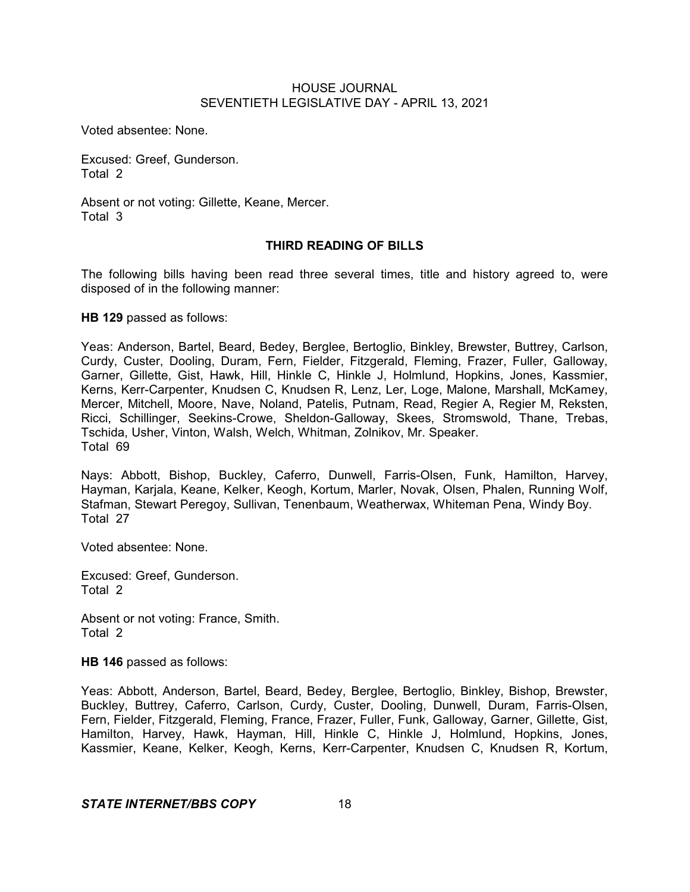Voted absentee: None.

Excused: Greef, Gunderson. Total 2

Absent or not voting: Gillette, Keane, Mercer. Total 3

# **THIRD READING OF BILLS**

The following bills having been read three several times, title and history agreed to, were disposed of in the following manner:

**HB 129** passed as follows:

Yeas: Anderson, Bartel, Beard, Bedey, Berglee, Bertoglio, Binkley, Brewster, Buttrey, Carlson, Curdy, Custer, Dooling, Duram, Fern, Fielder, Fitzgerald, Fleming, Frazer, Fuller, Galloway, Garner, Gillette, Gist, Hawk, Hill, Hinkle C, Hinkle J, Holmlund, Hopkins, Jones, Kassmier, Kerns, Kerr-Carpenter, Knudsen C, Knudsen R, Lenz, Ler, Loge, Malone, Marshall, McKamey, Mercer, Mitchell, Moore, Nave, Noland, Patelis, Putnam, Read, Regier A, Regier M, Reksten, Ricci, Schillinger, Seekins-Crowe, Sheldon-Galloway, Skees, Stromswold, Thane, Trebas, Tschida, Usher, Vinton, Walsh, Welch, Whitman, Zolnikov, Mr. Speaker. Total 69

Nays: Abbott, Bishop, Buckley, Caferro, Dunwell, Farris-Olsen, Funk, Hamilton, Harvey, Hayman, Karjala, Keane, Kelker, Keogh, Kortum, Marler, Novak, Olsen, Phalen, Running Wolf, Stafman, Stewart Peregoy, Sullivan, Tenenbaum, Weatherwax, Whiteman Pena, Windy Boy. Total 27

Voted absentee: None.

Excused: Greef, Gunderson. Total 2

Absent or not voting: France, Smith. Total 2

**HB 146** passed as follows:

Yeas: Abbott, Anderson, Bartel, Beard, Bedey, Berglee, Bertoglio, Binkley, Bishop, Brewster, Buckley, Buttrey, Caferro, Carlson, Curdy, Custer, Dooling, Dunwell, Duram, Farris-Olsen, Fern, Fielder, Fitzgerald, Fleming, France, Frazer, Fuller, Funk, Galloway, Garner, Gillette, Gist, Hamilton, Harvey, Hawk, Hayman, Hill, Hinkle C, Hinkle J, Holmlund, Hopkins, Jones, Kassmier, Keane, Kelker, Keogh, Kerns, Kerr-Carpenter, Knudsen C, Knudsen R, Kortum,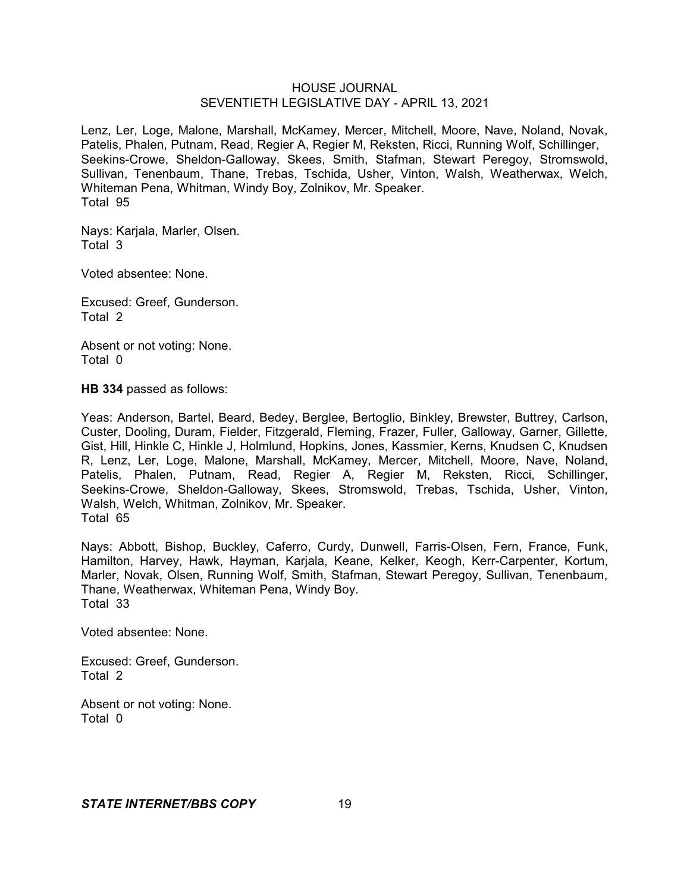Lenz, Ler, Loge, Malone, Marshall, McKamey, Mercer, Mitchell, Moore, Nave, Noland, Novak, Patelis, Phalen, Putnam, Read, Regier A, Regier M, Reksten, Ricci, Running Wolf, Schillinger, Seekins-Crowe, Sheldon-Galloway, Skees, Smith, Stafman, Stewart Peregoy, Stromswold, Sullivan, Tenenbaum, Thane, Trebas, Tschida, Usher, Vinton, Walsh, Weatherwax, Welch, Whiteman Pena, Whitman, Windy Boy, Zolnikov, Mr. Speaker. Total 95

Nays: Karjala, Marler, Olsen. Total 3

Voted absentee: None.

Excused: Greef, Gunderson. Total 2

Absent or not voting: None. Total 0

**HB 334** passed as follows:

Yeas: Anderson, Bartel, Beard, Bedey, Berglee, Bertoglio, Binkley, Brewster, Buttrey, Carlson, Custer, Dooling, Duram, Fielder, Fitzgerald, Fleming, Frazer, Fuller, Galloway, Garner, Gillette, Gist, Hill, Hinkle C, Hinkle J, Holmlund, Hopkins, Jones, Kassmier, Kerns, Knudsen C, Knudsen R, Lenz, Ler, Loge, Malone, Marshall, McKamey, Mercer, Mitchell, Moore, Nave, Noland, Patelis, Phalen, Putnam, Read, Regier A, Regier M, Reksten, Ricci, Schillinger, Seekins-Crowe, Sheldon-Galloway, Skees, Stromswold, Trebas, Tschida, Usher, Vinton, Walsh, Welch, Whitman, Zolnikov, Mr. Speaker. Total 65

Nays: Abbott, Bishop, Buckley, Caferro, Curdy, Dunwell, Farris-Olsen, Fern, France, Funk, Hamilton, Harvey, Hawk, Hayman, Karjala, Keane, Kelker, Keogh, Kerr-Carpenter, Kortum, Marler, Novak, Olsen, Running Wolf, Smith, Stafman, Stewart Peregoy, Sullivan, Tenenbaum, Thane, Weatherwax, Whiteman Pena, Windy Boy. Total 33

Voted absentee: None.

Excused: Greef, Gunderson. Total 2

Absent or not voting: None. Total 0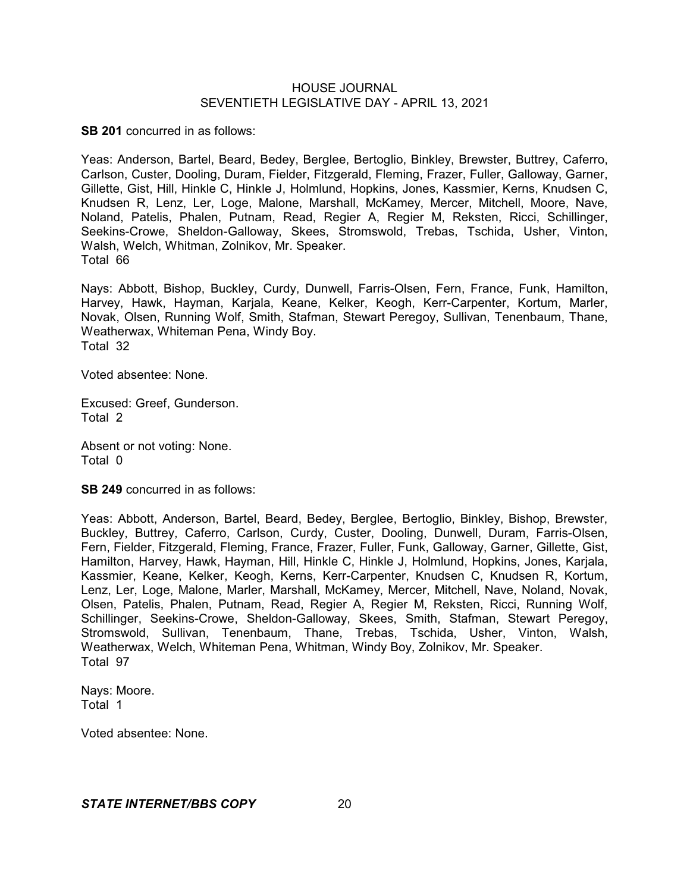**SB 201** concurred in as follows:

Yeas: Anderson, Bartel, Beard, Bedey, Berglee, Bertoglio, Binkley, Brewster, Buttrey, Caferro, Carlson, Custer, Dooling, Duram, Fielder, Fitzgerald, Fleming, Frazer, Fuller, Galloway, Garner, Gillette, Gist, Hill, Hinkle C, Hinkle J, Holmlund, Hopkins, Jones, Kassmier, Kerns, Knudsen C, Knudsen R, Lenz, Ler, Loge, Malone, Marshall, McKamey, Mercer, Mitchell, Moore, Nave, Noland, Patelis, Phalen, Putnam, Read, Regier A, Regier M, Reksten, Ricci, Schillinger, Seekins-Crowe, Sheldon-Galloway, Skees, Stromswold, Trebas, Tschida, Usher, Vinton, Walsh, Welch, Whitman, Zolnikov, Mr. Speaker. Total 66

Nays: Abbott, Bishop, Buckley, Curdy, Dunwell, Farris-Olsen, Fern, France, Funk, Hamilton, Harvey, Hawk, Hayman, Karjala, Keane, Kelker, Keogh, Kerr-Carpenter, Kortum, Marler, Novak, Olsen, Running Wolf, Smith, Stafman, Stewart Peregoy, Sullivan, Tenenbaum, Thane, Weatherwax, Whiteman Pena, Windy Boy. Total 32

Voted absentee: None.

Excused: Greef, Gunderson. Total 2

Absent or not voting: None. Total 0

**SB 249** concurred in as follows:

Yeas: Abbott, Anderson, Bartel, Beard, Bedey, Berglee, Bertoglio, Binkley, Bishop, Brewster, Buckley, Buttrey, Caferro, Carlson, Curdy, Custer, Dooling, Dunwell, Duram, Farris-Olsen, Fern, Fielder, Fitzgerald, Fleming, France, Frazer, Fuller, Funk, Galloway, Garner, Gillette, Gist, Hamilton, Harvey, Hawk, Hayman, Hill, Hinkle C, Hinkle J, Holmlund, Hopkins, Jones, Karjala, Kassmier, Keane, Kelker, Keogh, Kerns, Kerr-Carpenter, Knudsen C, Knudsen R, Kortum, Lenz, Ler, Loge, Malone, Marler, Marshall, McKamey, Mercer, Mitchell, Nave, Noland, Novak, Olsen, Patelis, Phalen, Putnam, Read, Regier A, Regier M, Reksten, Ricci, Running Wolf, Schillinger, Seekins-Crowe, Sheldon-Galloway, Skees, Smith, Stafman, Stewart Peregoy, Stromswold, Sullivan, Tenenbaum, Thane, Trebas, Tschida, Usher, Vinton, Walsh, Weatherwax, Welch, Whiteman Pena, Whitman, Windy Boy, Zolnikov, Mr. Speaker. Total 97

Nays: Moore. Total 1

Voted absentee: None.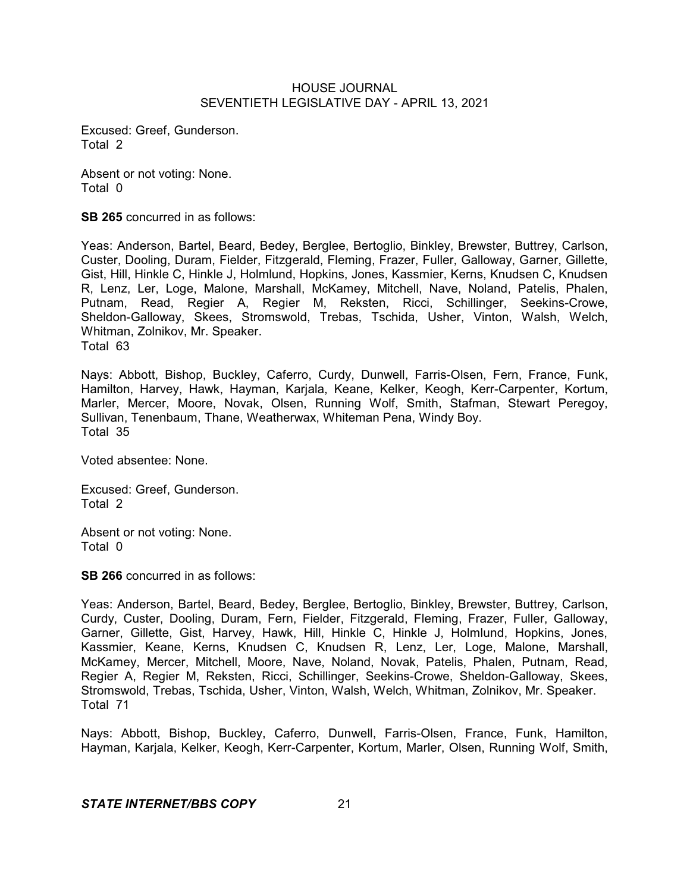Excused: Greef, Gunderson. Total 2

Absent or not voting: None. Total 0

**SB 265** concurred in as follows:

Yeas: Anderson, Bartel, Beard, Bedey, Berglee, Bertoglio, Binkley, Brewster, Buttrey, Carlson, Custer, Dooling, Duram, Fielder, Fitzgerald, Fleming, Frazer, Fuller, Galloway, Garner, Gillette, Gist, Hill, Hinkle C, Hinkle J, Holmlund, Hopkins, Jones, Kassmier, Kerns, Knudsen C, Knudsen R, Lenz, Ler, Loge, Malone, Marshall, McKamey, Mitchell, Nave, Noland, Patelis, Phalen, Putnam, Read, Regier A, Regier M, Reksten, Ricci, Schillinger, Seekins-Crowe, Sheldon-Galloway, Skees, Stromswold, Trebas, Tschida, Usher, Vinton, Walsh, Welch, Whitman, Zolnikov, Mr. Speaker. Total 63

Nays: Abbott, Bishop, Buckley, Caferro, Curdy, Dunwell, Farris-Olsen, Fern, France, Funk, Hamilton, Harvey, Hawk, Hayman, Karjala, Keane, Kelker, Keogh, Kerr-Carpenter, Kortum, Marler, Mercer, Moore, Novak, Olsen, Running Wolf, Smith, Stafman, Stewart Peregoy, Sullivan, Tenenbaum, Thane, Weatherwax, Whiteman Pena, Windy Boy. Total 35

Voted absentee: None.

Excused: Greef, Gunderson. Total 2

Absent or not voting: None. Total 0

**SB 266** concurred in as follows:

Yeas: Anderson, Bartel, Beard, Bedey, Berglee, Bertoglio, Binkley, Brewster, Buttrey, Carlson, Curdy, Custer, Dooling, Duram, Fern, Fielder, Fitzgerald, Fleming, Frazer, Fuller, Galloway, Garner, Gillette, Gist, Harvey, Hawk, Hill, Hinkle C, Hinkle J, Holmlund, Hopkins, Jones, Kassmier, Keane, Kerns, Knudsen C, Knudsen R, Lenz, Ler, Loge, Malone, Marshall, McKamey, Mercer, Mitchell, Moore, Nave, Noland, Novak, Patelis, Phalen, Putnam, Read, Regier A, Regier M, Reksten, Ricci, Schillinger, Seekins-Crowe, Sheldon-Galloway, Skees, Stromswold, Trebas, Tschida, Usher, Vinton, Walsh, Welch, Whitman, Zolnikov, Mr. Speaker. Total 71

Nays: Abbott, Bishop, Buckley, Caferro, Dunwell, Farris-Olsen, France, Funk, Hamilton, Hayman, Karjala, Kelker, Keogh, Kerr-Carpenter, Kortum, Marler, Olsen, Running Wolf, Smith,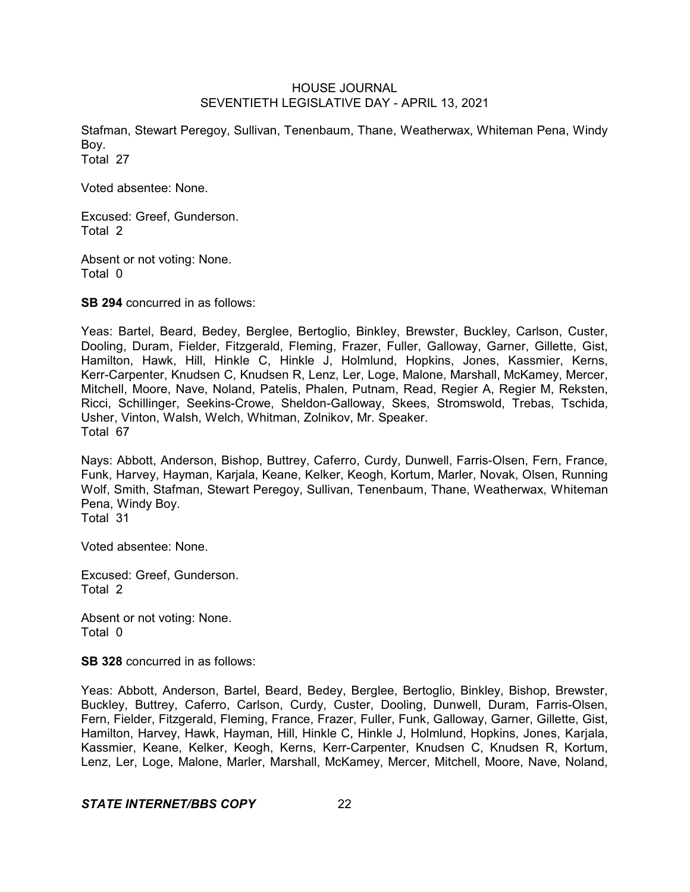Stafman, Stewart Peregoy, Sullivan, Tenenbaum, Thane, Weatherwax, Whiteman Pena, Windy Boy. Total 27

Voted absentee: None.

Excused: Greef, Gunderson. Total 2

Absent or not voting: None. Total 0

**SB 294** concurred in as follows:

Yeas: Bartel, Beard, Bedey, Berglee, Bertoglio, Binkley, Brewster, Buckley, Carlson, Custer, Dooling, Duram, Fielder, Fitzgerald, Fleming, Frazer, Fuller, Galloway, Garner, Gillette, Gist, Hamilton, Hawk, Hill, Hinkle C, Hinkle J, Holmlund, Hopkins, Jones, Kassmier, Kerns, Kerr-Carpenter, Knudsen C, Knudsen R, Lenz, Ler, Loge, Malone, Marshall, McKamey, Mercer, Mitchell, Moore, Nave, Noland, Patelis, Phalen, Putnam, Read, Regier A, Regier M, Reksten, Ricci, Schillinger, Seekins-Crowe, Sheldon-Galloway, Skees, Stromswold, Trebas, Tschida, Usher, Vinton, Walsh, Welch, Whitman, Zolnikov, Mr. Speaker. Total 67

Nays: Abbott, Anderson, Bishop, Buttrey, Caferro, Curdy, Dunwell, Farris-Olsen, Fern, France, Funk, Harvey, Hayman, Karjala, Keane, Kelker, Keogh, Kortum, Marler, Novak, Olsen, Running Wolf, Smith, Stafman, Stewart Peregoy, Sullivan, Tenenbaum, Thane, Weatherwax, Whiteman Pena, Windy Boy. Total 31

Voted absentee: None.

Excused: Greef, Gunderson. Total 2

Absent or not voting: None. Total 0

**SB 328** concurred in as follows:

Yeas: Abbott, Anderson, Bartel, Beard, Bedey, Berglee, Bertoglio, Binkley, Bishop, Brewster, Buckley, Buttrey, Caferro, Carlson, Curdy, Custer, Dooling, Dunwell, Duram, Farris-Olsen, Fern, Fielder, Fitzgerald, Fleming, France, Frazer, Fuller, Funk, Galloway, Garner, Gillette, Gist, Hamilton, Harvey, Hawk, Hayman, Hill, Hinkle C, Hinkle J, Holmlund, Hopkins, Jones, Karjala, Kassmier, Keane, Kelker, Keogh, Kerns, Kerr-Carpenter, Knudsen C, Knudsen R, Kortum, Lenz, Ler, Loge, Malone, Marler, Marshall, McKamey, Mercer, Mitchell, Moore, Nave, Noland,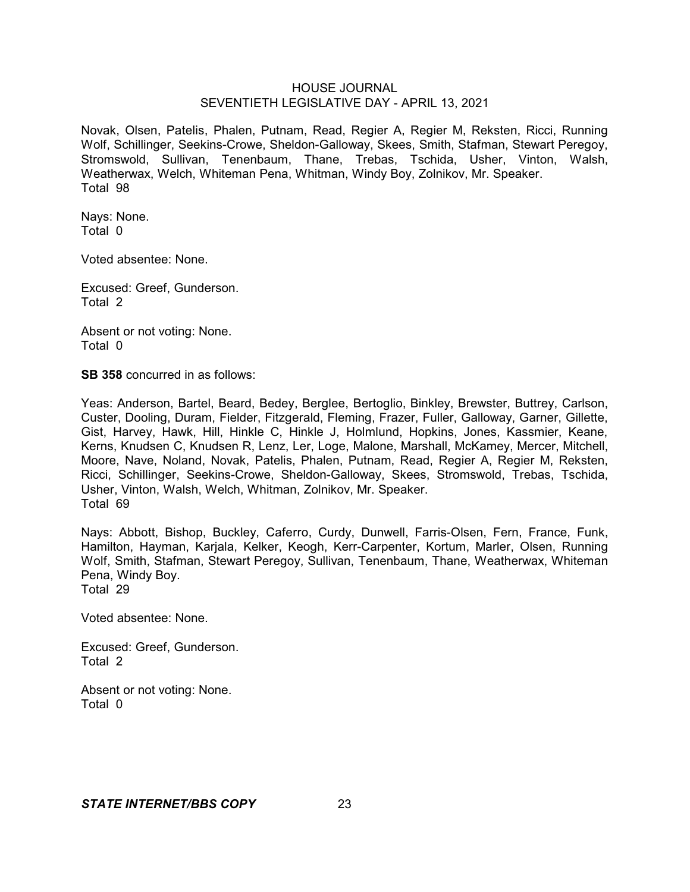Novak, Olsen, Patelis, Phalen, Putnam, Read, Regier A, Regier M, Reksten, Ricci, Running Wolf, Schillinger, Seekins-Crowe, Sheldon-Galloway, Skees, Smith, Stafman, Stewart Peregoy, Stromswold, Sullivan, Tenenbaum, Thane, Trebas, Tschida, Usher, Vinton, Walsh, Weatherwax, Welch, Whiteman Pena, Whitman, Windy Boy, Zolnikov, Mr. Speaker. Total 98

Nays: None. Total 0

Voted absentee: None.

Excused: Greef, Gunderson. Total 2

Absent or not voting: None. Total 0

**SB 358** concurred in as follows:

Yeas: Anderson, Bartel, Beard, Bedey, Berglee, Bertoglio, Binkley, Brewster, Buttrey, Carlson, Custer, Dooling, Duram, Fielder, Fitzgerald, Fleming, Frazer, Fuller, Galloway, Garner, Gillette, Gist, Harvey, Hawk, Hill, Hinkle C, Hinkle J, Holmlund, Hopkins, Jones, Kassmier, Keane, Kerns, Knudsen C, Knudsen R, Lenz, Ler, Loge, Malone, Marshall, McKamey, Mercer, Mitchell, Moore, Nave, Noland, Novak, Patelis, Phalen, Putnam, Read, Regier A, Regier M, Reksten, Ricci, Schillinger, Seekins-Crowe, Sheldon-Galloway, Skees, Stromswold, Trebas, Tschida, Usher, Vinton, Walsh, Welch, Whitman, Zolnikov, Mr. Speaker. Total 69

Nays: Abbott, Bishop, Buckley, Caferro, Curdy, Dunwell, Farris-Olsen, Fern, France, Funk, Hamilton, Hayman, Karjala, Kelker, Keogh, Kerr-Carpenter, Kortum, Marler, Olsen, Running Wolf, Smith, Stafman, Stewart Peregoy, Sullivan, Tenenbaum, Thane, Weatherwax, Whiteman Pena, Windy Boy. Total 29

Voted absentee: None.

Excused: Greef, Gunderson. Total 2

Absent or not voting: None. Total 0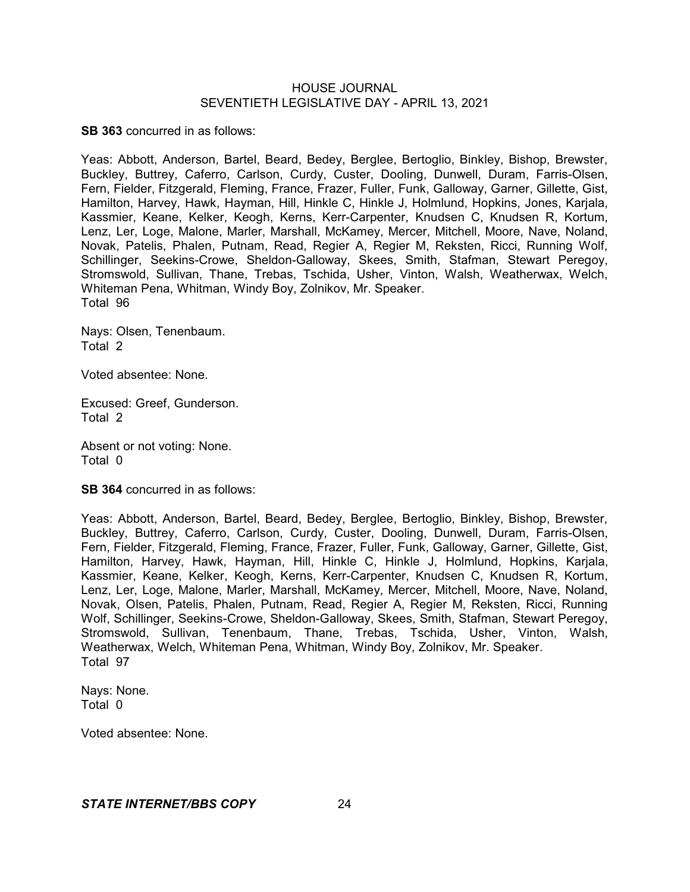**SB 363** concurred in as follows:

Yeas: Abbott, Anderson, Bartel, Beard, Bedey, Berglee, Bertoglio, Binkley, Bishop, Brewster, Buckley, Buttrey, Caferro, Carlson, Curdy, Custer, Dooling, Dunwell, Duram, Farris-Olsen, Fern, Fielder, Fitzgerald, Fleming, France, Frazer, Fuller, Funk, Galloway, Garner, Gillette, Gist, Hamilton, Harvey, Hawk, Hayman, Hill, Hinkle C, Hinkle J, Holmlund, Hopkins, Jones, Karjala, Kassmier, Keane, Kelker, Keogh, Kerns, Kerr-Carpenter, Knudsen C, Knudsen R, Kortum, Lenz, Ler, Loge, Malone, Marler, Marshall, McKamey, Mercer, Mitchell, Moore, Nave, Noland, Novak, Patelis, Phalen, Putnam, Read, Regier A, Regier M, Reksten, Ricci, Running Wolf, Schillinger, Seekins-Crowe, Sheldon-Galloway, Skees, Smith, Stafman, Stewart Peregoy, Stromswold, Sullivan, Thane, Trebas, Tschida, Usher, Vinton, Walsh, Weatherwax, Welch, Whiteman Pena, Whitman, Windy Boy, Zolnikov, Mr. Speaker. Total 96

Nays: Olsen, Tenenbaum. Total 2

Voted absentee: None.

Excused: Greef, Gunderson. Total 2

Absent or not voting: None. Total 0

**SB 364** concurred in as follows:

Yeas: Abbott, Anderson, Bartel, Beard, Bedey, Berglee, Bertoglio, Binkley, Bishop, Brewster, Buckley, Buttrey, Caferro, Carlson, Curdy, Custer, Dooling, Dunwell, Duram, Farris-Olsen, Fern, Fielder, Fitzgerald, Fleming, France, Frazer, Fuller, Funk, Galloway, Garner, Gillette, Gist, Hamilton, Harvey, Hawk, Hayman, Hill, Hinkle C, Hinkle J, Holmlund, Hopkins, Karjala, Kassmier, Keane, Kelker, Keogh, Kerns, Kerr-Carpenter, Knudsen C, Knudsen R, Kortum, Lenz, Ler, Loge, Malone, Marler, Marshall, McKamey, Mercer, Mitchell, Moore, Nave, Noland, Novak, Olsen, Patelis, Phalen, Putnam, Read, Regier A, Regier M, Reksten, Ricci, Running Wolf, Schillinger, Seekins-Crowe, Sheldon-Galloway, Skees, Smith, Stafman, Stewart Peregoy, Stromswold, Sullivan, Tenenbaum, Thane, Trebas, Tschida, Usher, Vinton, Walsh, Weatherwax, Welch, Whiteman Pena, Whitman, Windy Boy, Zolnikov, Mr. Speaker. Total 97

Nays: None. Total 0

Voted absentee: None.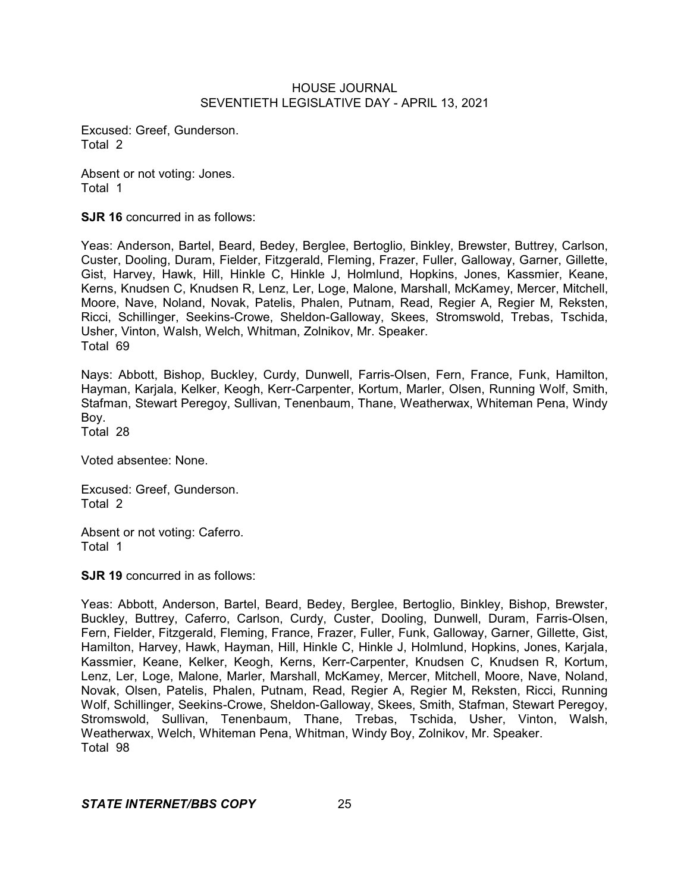Excused: Greef, Gunderson. Total 2

Absent or not voting: Jones. Total 1

**SJR 16** concurred in as follows:

Yeas: Anderson, Bartel, Beard, Bedey, Berglee, Bertoglio, Binkley, Brewster, Buttrey, Carlson, Custer, Dooling, Duram, Fielder, Fitzgerald, Fleming, Frazer, Fuller, Galloway, Garner, Gillette, Gist, Harvey, Hawk, Hill, Hinkle C, Hinkle J, Holmlund, Hopkins, Jones, Kassmier, Keane, Kerns, Knudsen C, Knudsen R, Lenz, Ler, Loge, Malone, Marshall, McKamey, Mercer, Mitchell, Moore, Nave, Noland, Novak, Patelis, Phalen, Putnam, Read, Regier A, Regier M, Reksten, Ricci, Schillinger, Seekins-Crowe, Sheldon-Galloway, Skees, Stromswold, Trebas, Tschida, Usher, Vinton, Walsh, Welch, Whitman, Zolnikov, Mr. Speaker. Total 69

Nays: Abbott, Bishop, Buckley, Curdy, Dunwell, Farris-Olsen, Fern, France, Funk, Hamilton, Hayman, Karjala, Kelker, Keogh, Kerr-Carpenter, Kortum, Marler, Olsen, Running Wolf, Smith, Stafman, Stewart Peregoy, Sullivan, Tenenbaum, Thane, Weatherwax, Whiteman Pena, Windy Boy.

Total 28

Voted absentee: None.

Excused: Greef, Gunderson. Total 2

Absent or not voting: Caferro. Total 1

**SJR 19** concurred in as follows:

Yeas: Abbott, Anderson, Bartel, Beard, Bedey, Berglee, Bertoglio, Binkley, Bishop, Brewster, Buckley, Buttrey, Caferro, Carlson, Curdy, Custer, Dooling, Dunwell, Duram, Farris-Olsen, Fern, Fielder, Fitzgerald, Fleming, France, Frazer, Fuller, Funk, Galloway, Garner, Gillette, Gist, Hamilton, Harvey, Hawk, Hayman, Hill, Hinkle C, Hinkle J, Holmlund, Hopkins, Jones, Karjala, Kassmier, Keane, Kelker, Keogh, Kerns, Kerr-Carpenter, Knudsen C, Knudsen R, Kortum, Lenz, Ler, Loge, Malone, Marler, Marshall, McKamey, Mercer, Mitchell, Moore, Nave, Noland, Novak, Olsen, Patelis, Phalen, Putnam, Read, Regier A, Regier M, Reksten, Ricci, Running Wolf, Schillinger, Seekins-Crowe, Sheldon-Galloway, Skees, Smith, Stafman, Stewart Peregoy, Stromswold, Sullivan, Tenenbaum, Thane, Trebas, Tschida, Usher, Vinton, Walsh, Weatherwax, Welch, Whiteman Pena, Whitman, Windy Boy, Zolnikov, Mr. Speaker. Total 98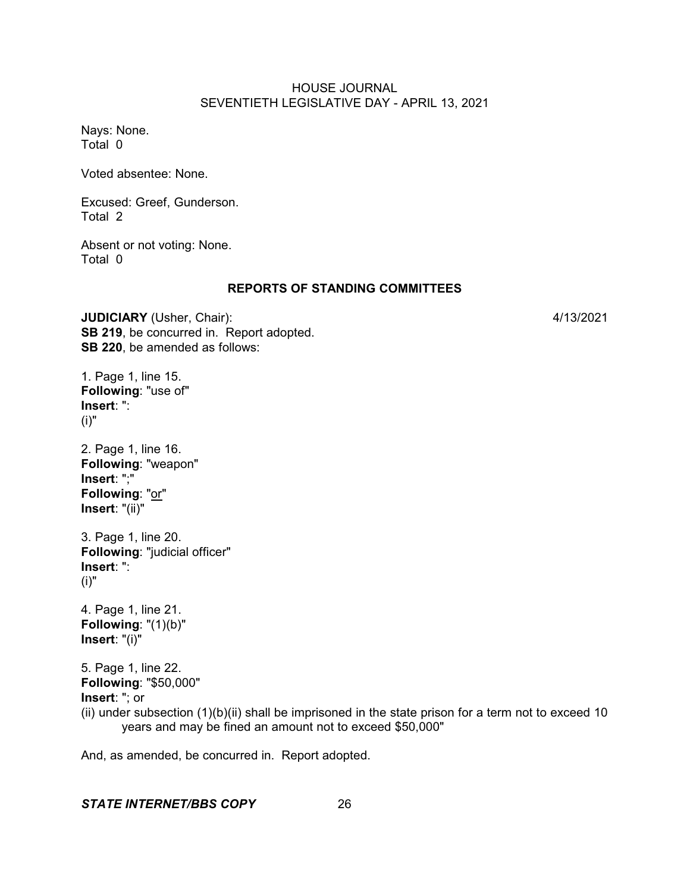Nays: None. Total 0

Voted absentee: None.

Excused: Greef, Gunderson. Total 2

Absent or not voting: None. Total 0

#### **REPORTS OF STANDING COMMITTEES**

**JUDICIARY** (Usher, Chair): 4/13/2021 **SB 219**, be concurred in. Report adopted. **SB 220**, be amended as follows:

1. Page 1, line 15. **Following**: "use of" **Insert**: ": (i)"

2. Page 1, line 16. **Following**: "weapon" **Insert**: ";" **Following**: "or" **Insert**: "(ii)"

3. Page 1, line 20. **Following**: "judicial officer" **Insert**: ": (i)"

4. Page 1, line 21. **Following**: "(1)(b)" **Insert**: "(i)"

5. Page 1, line 22. **Following**: "\$50,000" **Insert**: "; or (ii) under subsection  $(1)(b)(ii)$  shall be imprisoned in the state prison for a term not to exceed 10 years and may be fined an amount not to exceed \$50,000"

And, as amended, be concurred in. Report adopted.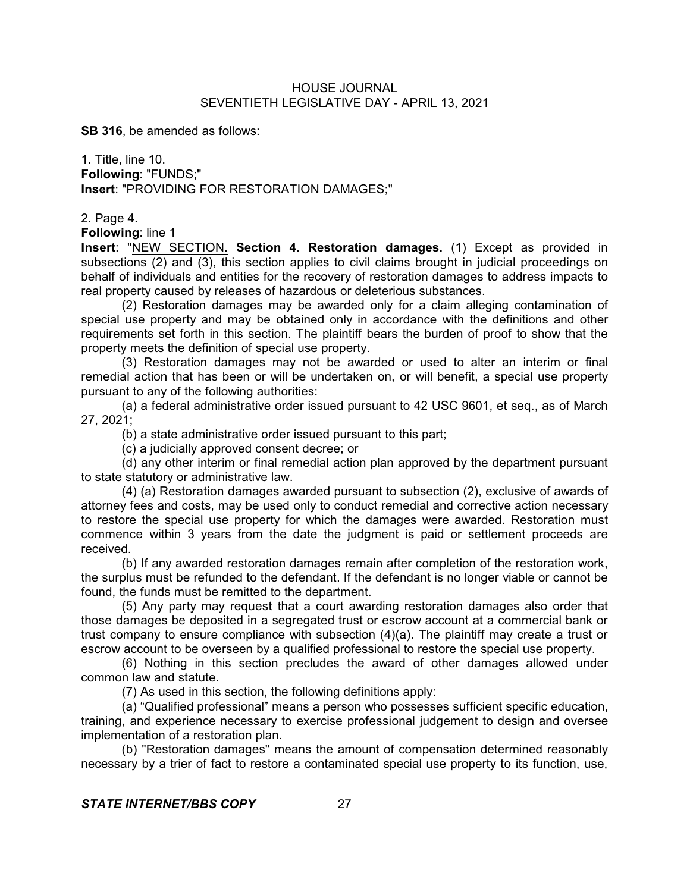**SB 316**, be amended as follows:

1. Title, line 10. **Following**: "FUNDS;" **Insert**: "PROVIDING FOR RESTORATION DAMAGES;"

2. Page 4.

**Following**: line 1

**Insert**: "NEW SECTION. **Section 4. Restoration damages.** (1) Except as provided in subsections (2) and (3), this section applies to civil claims brought in judicial proceedings on behalf of individuals and entities for the recovery of restoration damages to address impacts to real property caused by releases of hazardous or deleterious substances.

(2) Restoration damages may be awarded only for a claim alleging contamination of special use property and may be obtained only in accordance with the definitions and other requirements set forth in this section. The plaintiff bears the burden of proof to show that the property meets the definition of special use property.

(3) Restoration damages may not be awarded or used to alter an interim or final remedial action that has been or will be undertaken on, or will benefit, a special use property pursuant to any of the following authorities:

(a) a federal administrative order issued pursuant to 42 USC 9601, et seq., as of March 27, 2021;

(b) a state administrative order issued pursuant to this part;

(c) a judicially approved consent decree; or

(d) any other interim or final remedial action plan approved by the department pursuant to state statutory or administrative law.

(4) (a) Restoration damages awarded pursuant to subsection (2), exclusive of awards of attorney fees and costs, may be used only to conduct remedial and corrective action necessary to restore the special use property for which the damages were awarded. Restoration must commence within 3 years from the date the judgment is paid or settlement proceeds are received.

(b) If any awarded restoration damages remain after completion of the restoration work, the surplus must be refunded to the defendant. If the defendant is no longer viable or cannot be found, the funds must be remitted to the department.

(5) Any party may request that a court awarding restoration damages also order that those damages be deposited in a segregated trust or escrow account at a commercial bank or trust company to ensure compliance with subsection (4)(a). The plaintiff may create a trust or escrow account to be overseen by a qualified professional to restore the special use property.

(6) Nothing in this section precludes the award of other damages allowed under common law and statute.

(7) As used in this section, the following definitions apply:

(a) "Qualified professional" means a person who possesses sufficient specific education, training, and experience necessary to exercise professional judgement to design and oversee implementation of a restoration plan.

(b) "Restoration damages" means the amount of compensation determined reasonably necessary by a trier of fact to restore a contaminated special use property to its function, use,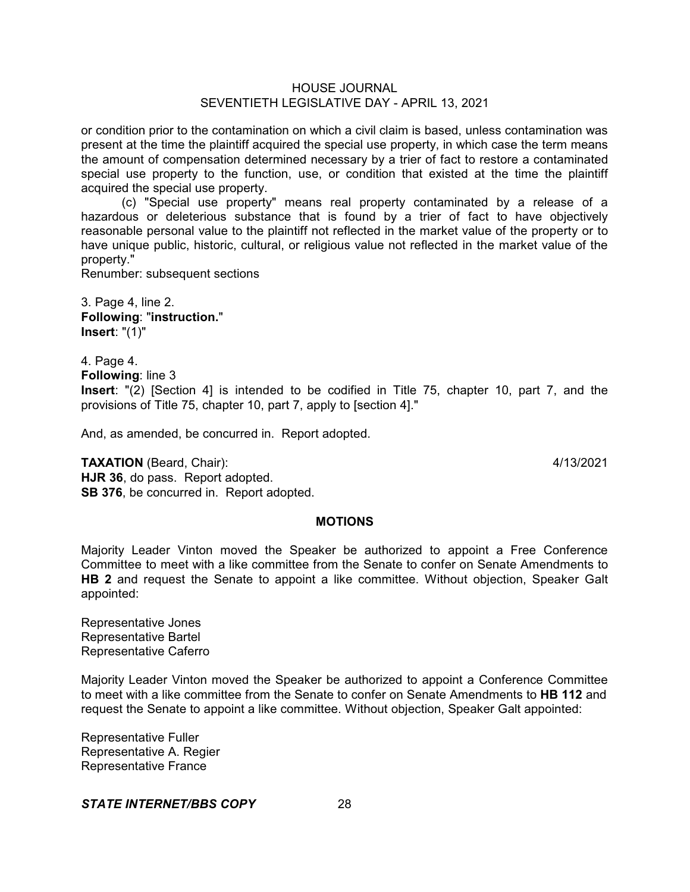or condition prior to the contamination on which a civil claim is based, unless contamination was present at the time the plaintiff acquired the special use property, in which case the term means the amount of compensation determined necessary by a trier of fact to restore a contaminated special use property to the function, use, or condition that existed at the time the plaintiff acquired the special use property.

(c) "Special use property" means real property contaminated by a release of a hazardous or deleterious substance that is found by a trier of fact to have objectively reasonable personal value to the plaintiff not reflected in the market value of the property or to have unique public, historic, cultural, or religious value not reflected in the market value of the property."

Renumber: subsequent sections

3. Page 4, line 2. **Following**: "**instruction.**" **Insert**: "(1)"

4. Page 4. **Following**: line 3 **Insert**: "(2) [Section 4] is intended to be codified in Title 75, chapter 10, part 7, and the provisions of Title 75, chapter 10, part 7, apply to [section 4]."

And, as amended, be concurred in. Report adopted.

**TAXATION** (Beard, Chair): 4/13/2021 **HJR 36**, do pass. Report adopted. **SB 376**, be concurred in. Report adopted.

# **MOTIONS**

Majority Leader Vinton moved the Speaker be authorized to appoint a Free Conference Committee to meet with a like committee from the Senate to confer on Senate Amendments to **HB 2** and request the Senate to appoint a like committee. Without objection, Speaker Galt appointed:

Representative Jones Representative Bartel Representative Caferro

Majority Leader Vinton moved the Speaker be authorized to appoint a Conference Committee to meet with a like committee from the Senate to confer on Senate Amendments to **HB 112** and request the Senate to appoint a like committee. Without objection, Speaker Galt appointed:

Representative Fuller Representative A. Regier Representative France